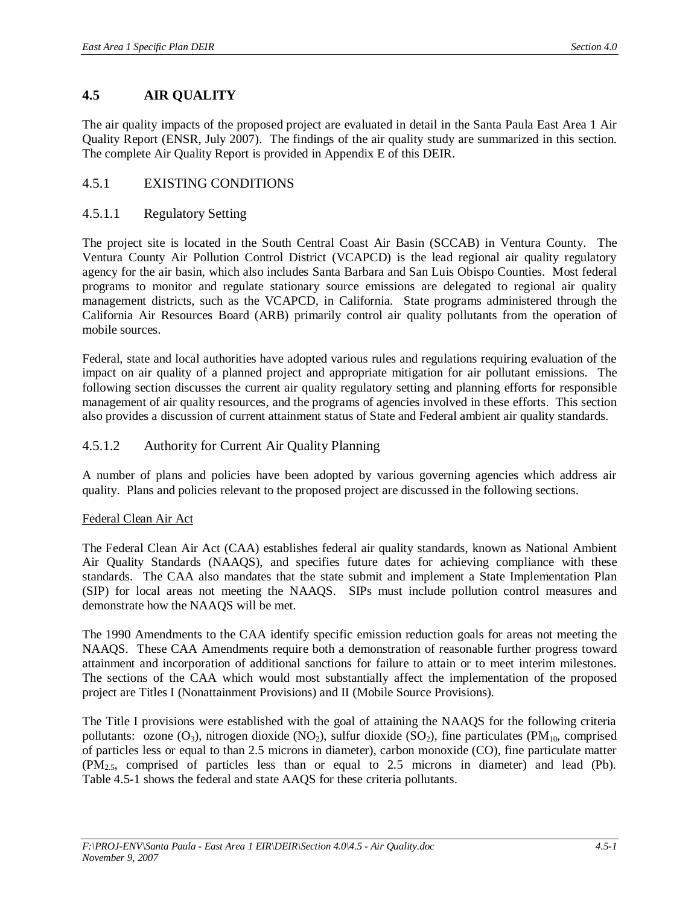# **4.5 AIR QUALITY**

The air quality impacts of the proposed project are evaluated in detail in the Santa Paula East Area 1 Air Quality Report (ENSR, July 2007). The findings of the air quality study are summarized in this section. The complete Air Quality Report is provided in Appendix E of this DEIR.

# 4.5.1 EXISTING CONDITIONS

# 4.5.1.1 Regulatory Setting

The project site is located in the South Central Coast Air Basin (SCCAB) in Ventura County. The Ventura County Air Pollution Control District (VCAPCD) is the lead regional air quality regulatory agency for the air basin, which also includes Santa Barbara and San Luis Obispo Counties. Most federal programs to monitor and regulate stationary source emissions are delegated to regional air quality management districts, such as the VCAPCD, in California. State programs administered through the California Air Resources Board (ARB) primarily control air quality pollutants from the operation of mobile sources.

Federal, state and local authorities have adopted various rules and regulations requiring evaluation of the impact on air quality of a planned project and appropriate mitigation for air pollutant emissions. The following section discusses the current air quality regulatory setting and planning efforts for responsible management of air quality resources, and the programs of agencies involved in these efforts. This section also provides a discussion of current attainment status of State and Federal ambient air quality standards.

# 4.5.1.2 Authority for Current Air Quality Planning

A number of plans and policies have been adopted by various governing agencies which address air quality. Plans and policies relevant to the proposed project are discussed in the following sections.

#### Federal Clean Air Act

The Federal Clean Air Act (CAA) establishes federal air quality standards, known as National Ambient Air Quality Standards (NAAQS), and specifies future dates for achieving compliance with these standards. The CAA also mandates that the state submit and implement a State Implementation Plan (SIP) for local areas not meeting the NAAQS. SIPs must include pollution control measures and demonstrate how the NAAQS will be met.

The 1990 Amendments to the CAA identify specific emission reduction goals for areas not meeting the NAAQS. These CAA Amendments require both a demonstration of reasonable further progress toward attainment and incorporation of additional sanctions for failure to attain or to meet interim milestones. The sections of the CAA which would most substantially affect the implementation of the proposed project are Titles I (Nonattainment Provisions) and II (Mobile Source Provisions).

The Title I provisions were established with the goal of attaining the NAAQS for the following criteria pollutants: ozone  $(O_3)$ , nitrogen dioxide  $(NO_2)$ , sulfur dioxide  $(SO_2)$ , fine particulates (PM<sub>10</sub>, comprised of particles less or equal to than 2.5 microns in diameter), carbon monoxide (CO), fine particulate matter (PM2.5, comprised of particles less than or equal to 2.5 microns in diameter) and lead (Pb). Table 4.5-1 shows the federal and state AAQS for these criteria pollutants.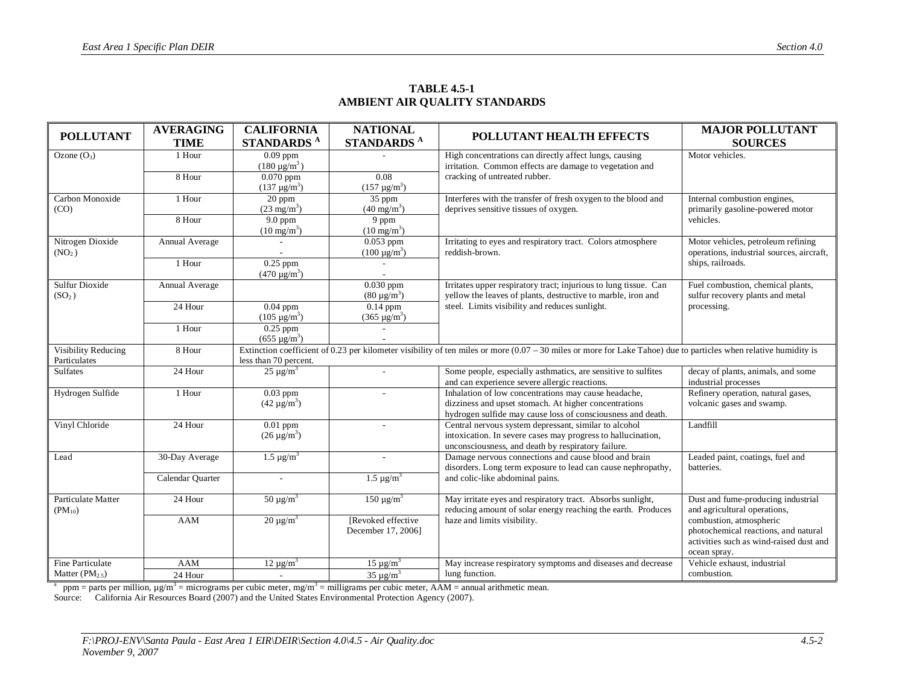| <b>POLLUTANT</b>            | <b>AVERAGING</b> | <b>CALIFORNIA</b><br><b>NATIONAL</b><br>POLLUTANT HEALTH EFFECTS |                                 | <b>MAJOR POLLUTANT</b>                                                                                                                                              |                                                                  |
|-----------------------------|------------------|------------------------------------------------------------------|---------------------------------|---------------------------------------------------------------------------------------------------------------------------------------------------------------------|------------------------------------------------------------------|
|                             | <b>TIME</b>      | STANDARDS <sup>A</sup>                                           | <b>STANDARDS</b> <sup>A</sup>   |                                                                                                                                                                     | <b>SOURCES</b>                                                   |
| Ozone $(O_3)$               | 1 Hour           | $\overline{0.09}$ ppm                                            |                                 | High concentrations can directly affect lungs, causing                                                                                                              | Motor vehicles.                                                  |
|                             |                  | $(180 \mu g/m^3)$                                                |                                 | irritation. Common effects are damage to vegetation and                                                                                                             |                                                                  |
|                             | 8 Hour           | $0.070$ ppm                                                      | 0.08                            | cracking of untreated rubber.                                                                                                                                       |                                                                  |
|                             |                  | $(137 \mu g/m^3)$                                                | $(157 \,\mu g/m^3)$             |                                                                                                                                                                     |                                                                  |
| Carbon Monoxide<br>(CO)     | 1 Hour           | $20$ ppm<br>$(23 \text{ mg/m}^3)$                                | 35 ppm<br>$(40 \text{ mg/m}^3)$ | Interferes with the transfer of fresh oxygen to the blood and<br>deprives sensitive tissues of oxygen.                                                              | Internal combustion engines,<br>primarily gasoline-powered motor |
|                             | 8 Hour           | $9.0$ ppm                                                        | 9 ppm                           |                                                                                                                                                                     | vehicles.                                                        |
|                             |                  | $(10 \text{ mg/m}^3)$                                            | $(10 \text{ mg/m}^3)$           |                                                                                                                                                                     |                                                                  |
| Nitrogen Dioxide            | Annual Average   |                                                                  | $0.053$ ppm                     | Irritating to eyes and respiratory tract. Colors atmosphere                                                                                                         | Motor vehicles, petroleum refining                               |
| (NO <sub>2</sub> )          |                  |                                                                  | $(100 \mu g/m^3)$               | reddish-brown.                                                                                                                                                      | operations, industrial sources, aircraft,                        |
|                             | 1 Hour           | $0.25$ ppm                                                       |                                 |                                                                                                                                                                     | ships, railroads.                                                |
| <b>Sulfur Dioxide</b>       | Annual Average   | $(470 \mu g/m^3)$                                                | $0.030$ ppm                     | Irritates upper respiratory tract; injurious to lung tissue. Can                                                                                                    | Fuel combustion, chemical plants,                                |
| (SO <sub>2</sub> )          |                  |                                                                  | $(80 \mu g/m^3)$                | yellow the leaves of plants, destructive to marble, iron and                                                                                                        | sulfur recovery plants and metal                                 |
|                             | 24 Hour          | $0.04$ ppm                                                       | $0.14$ ppm                      | steel. Limits visibility and reduces sunlight.                                                                                                                      | processing.                                                      |
|                             |                  | $(105 \mu g/m^3)$                                                | $(365 \,\mu g/m^3)$             |                                                                                                                                                                     |                                                                  |
|                             | 1 Hour           | $0.25$ ppm                                                       |                                 |                                                                                                                                                                     |                                                                  |
|                             |                  | $(655 \,\mu g/m^3)$                                              |                                 |                                                                                                                                                                     |                                                                  |
| Visibility Reducing         | 8 Hour           |                                                                  |                                 | Extinction coefficient of 0.23 per kilometer visibility of ten miles or more $(0.07 - 30)$ miles or more for Lake Tahoe) due to particles when relative humidity is |                                                                  |
| Particulates                | 24 Hour          | less than 70 percent.                                            |                                 |                                                                                                                                                                     |                                                                  |
| <b>Sulfates</b>             |                  | $\overline{25} \mu g/m^3$                                        | $\mathcal{L}^{\mathcal{A}}$     | Some people, especially asthmatics, are sensitive to sulfites<br>and can experience severe allergic reactions.                                                      | decay of plants, animals, and some<br>industrial processes       |
| Hydrogen Sulfide            | 1 Hour           | $0.03$ ppm                                                       |                                 | Inhalation of low concentrations may cause headache,                                                                                                                | Refinery operation, natural gases,                               |
|                             |                  | $(42 \,\mu g/m^3)$                                               |                                 | dizziness and upset stomach. At higher concentrations                                                                                                               | volcanic gases and swamp.                                        |
|                             |                  |                                                                  |                                 | hydrogen sulfide may cause loss of consciousness and death.                                                                                                         |                                                                  |
| Vinyl Chloride              | 24 Hour          | $0.01$ ppm                                                       | ٠                               | Central nervous system depressant, similar to alcohol                                                                                                               | Landfill                                                         |
|                             |                  | $(26 \,\mu g/m^3)$                                               |                                 | intoxication. In severe cases may progress to hallucination,                                                                                                        |                                                                  |
|                             |                  |                                                                  |                                 | unconsciousness, and death by respiratory failure.                                                                                                                  |                                                                  |
| Lead                        | 30-Day Average   | $\overline{1.5} \mu$ g/m <sup>3</sup>                            | ÷.                              | Damage nervous connections and cause blood and brain<br>disorders. Long term exposure to lead can cause nephropathy,                                                | Leaded paint, coatings, fuel and<br>batteries.                   |
|                             | Calendar Quarter |                                                                  | $1.5 \,\mu g/m^3$               | and colic-like abdominal pains.                                                                                                                                     |                                                                  |
|                             |                  |                                                                  |                                 |                                                                                                                                                                     |                                                                  |
| Particulate Matter          | 24 Hour          | $50 \mu g/m^3$                                                   | $150 \mu g/m^3$                 | May irritate eyes and respiratory tract. Absorbs sunlight,                                                                                                          | Dust and fume-producing industrial                               |
| $(PM_{10})$                 |                  |                                                                  |                                 | reducing amount of solar energy reaching the earth. Produces                                                                                                        | and agricultural operations,                                     |
|                             | <b>AAM</b>       | $20 \mu g/m^3$                                                   | [Revoked effective]             | haze and limits visibility.                                                                                                                                         | combustion, atmospheric                                          |
|                             |                  |                                                                  | December 17, 2006]              |                                                                                                                                                                     | photochemical reactions, and natural                             |
|                             |                  |                                                                  |                                 |                                                                                                                                                                     | activities such as wind-raised dust and<br>ocean spray.          |
| <b>Fine Particulate</b>     | AAM              | $12 \mu g/m^3$                                                   | $15 \mu g/m^3$                  | May increase respiratory symptoms and diseases and decrease                                                                                                         | Vehicle exhaust, industrial                                      |
| Matter (PM <sub>2.5</sub> ) | 24 Hour          | $\blacksquare$                                                   | $35 \mu g/m^3$                  | lung function.                                                                                                                                                      | combustion.                                                      |
|                             |                  |                                                                  |                                 |                                                                                                                                                                     |                                                                  |

#### **TABLE 4.5-1 AMBIENT AIR QUALITY STANDARDS**

<sup>a</sup> ppm = parts per million,  $\mu g/m^3$  = micrograms per cubic meter, mg/m<sup>3</sup> = milligrams per cubic meter, AAM = annual arithmetic mean.

Source: California Air Resources Board (2007) and the United States Environmental Protection Agency (2007).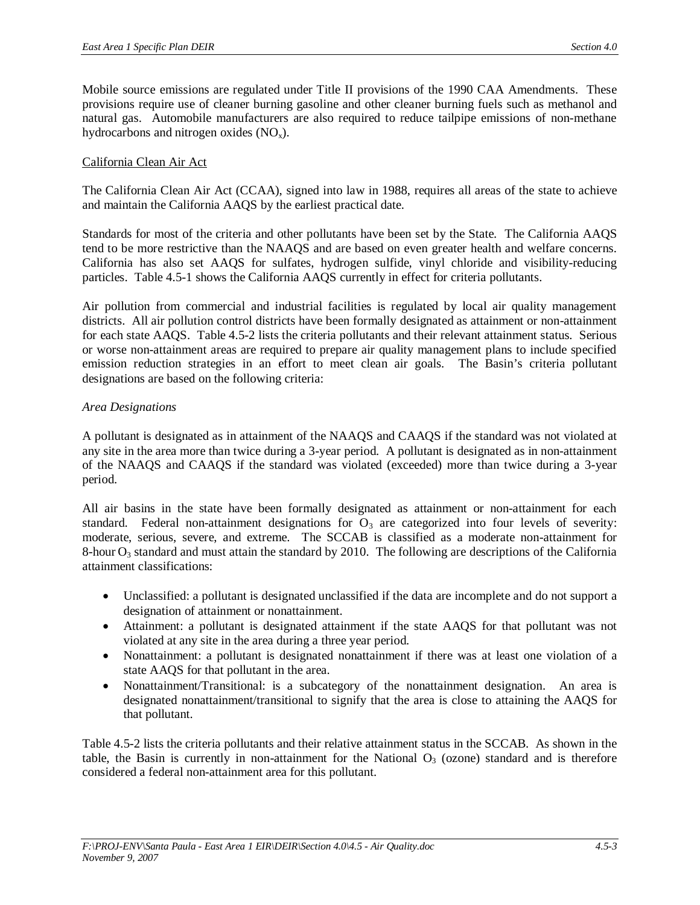Mobile source emissions are regulated under Title II provisions of the 1990 CAA Amendments. These provisions require use of cleaner burning gasoline and other cleaner burning fuels such as methanol and natural gas. Automobile manufacturers are also required to reduce tailpipe emissions of non-methane hydrocarbons and nitrogen oxides  $(NO<sub>x</sub>)$ .

#### California Clean Air Act

The California Clean Air Act (CCAA), signed into law in 1988, requires all areas of the state to achieve and maintain the California AAQS by the earliest practical date.

Standards for most of the criteria and other pollutants have been set by the State. The California AAQS tend to be more restrictive than the NAAQS and are based on even greater health and welfare concerns. California has also set AAQS for sulfates, hydrogen sulfide, vinyl chloride and visibility-reducing particles. Table 4.5-1 shows the California AAQS currently in effect for criteria pollutants.

Air pollution from commercial and industrial facilities is regulated by local air quality management districts. All air pollution control districts have been formally designated as attainment or non-attainment for each state AAQS. Table 4.5-2 lists the criteria pollutants and their relevant attainment status. Serious or worse non-attainment areas are required to prepare air quality management plans to include specified emission reduction strategies in an effort to meet clean air goals. The Basin's criteria pollutant designations are based on the following criteria:

#### *Area Designations*

A pollutant is designated as in attainment of the NAAQS and CAAQS if the standard was not violated at any site in the area more than twice during a 3-year period. A pollutant is designated as in non-attainment of the NAAQS and CAAQS if the standard was violated (exceeded) more than twice during a 3-year period.

All air basins in the state have been formally designated as attainment or non-attainment for each standard. Federal non-attainment designations for  $O<sub>3</sub>$  are categorized into four levels of severity: moderate, serious, severe, and extreme. The SCCAB is classified as a moderate non-attainment for 8-hour  $O_3$  standard and must attain the standard by 2010. The following are descriptions of the California attainment classifications:

- Unclassified: a pollutant is designated unclassified if the data are incomplete and do not support a designation of attainment or nonattainment.
- x Attainment: a pollutant is designated attainment if the state AAQS for that pollutant was not violated at any site in the area during a three year period.
- Nonattainment: a pollutant is designated nonattainment if there was at least one violation of a state AAQS for that pollutant in the area.
- Nonattainment/Transitional: is a subcategory of the nonattainment designation. An area is designated nonattainment/transitional to signify that the area is close to attaining the AAQS for that pollutant.

Table 4.5-2 lists the criteria pollutants and their relative attainment status in the SCCAB. As shown in the table, the Basin is currently in non-attainment for the National  $O<sub>3</sub>$  (ozone) standard and is therefore considered a federal non-attainment area for this pollutant.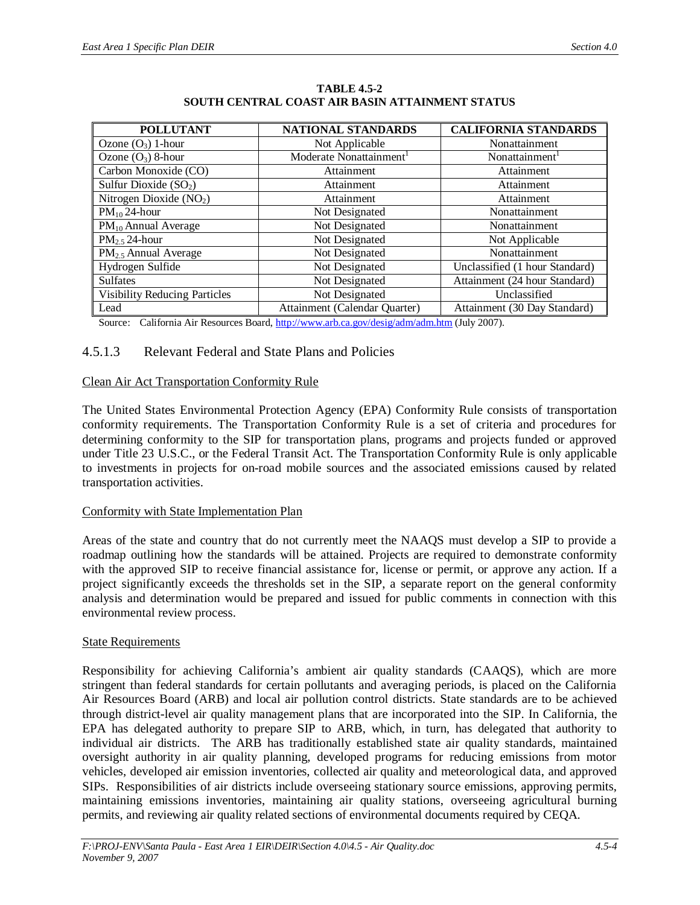| <b>POLLUTANT</b>                                                   | <b>NATIONAL STANDARDS</b>                                                  | <b>CALIFORNIA STANDARDS</b>    |  |
|--------------------------------------------------------------------|----------------------------------------------------------------------------|--------------------------------|--|
| Ozone $(O_3)$ 1-hour                                               | Not Applicable                                                             | Nonattainment                  |  |
| Ozone $(O_3)$ 8-hour                                               | Moderate Nonattainment <sup>1</sup>                                        | Nonattainment <sup>1</sup>     |  |
| Carbon Monoxide (CO)                                               | Attainment                                                                 | Attainment                     |  |
| Sulfur Dioxide $(SO2)$                                             | Attainment                                                                 | Attainment                     |  |
| Nitrogen Dioxide $(NO2)$                                           | Attainment                                                                 | Attainment                     |  |
| $PM_{10}$ 24-hour                                                  | Not Designated                                                             | Nonattainment                  |  |
| $PM_{10}$ Annual Average                                           | Not Designated                                                             | Nonattainment                  |  |
| $PM_2$ , 24-hour                                                   | Not Designated                                                             | Not Applicable                 |  |
| PM <sub>2.5</sub> Annual Average                                   | Not Designated                                                             | Nonattainment                  |  |
| Hydrogen Sulfide                                                   | Not Designated                                                             | Unclassified (1 hour Standard) |  |
| <b>Sulfates</b>                                                    | Not Designated                                                             | Attainment (24 hour Standard)  |  |
| <b>Visibility Reducing Particles</b>                               | Not Designated                                                             | Unclassified                   |  |
| Lead<br>$\alpha$ is $\alpha$ is $\alpha$<br>$\mathbf{r}$<br>$\sim$ | Attainment (Calendar Quarter)<br>$1.111 = 1$ $1.111 = 1$ $(1.111) = 0.007$ | Attainment (30 Day Standard)   |  |

#### **TABLE 4.5-2 SOUTH CENTRAL COAST AIR BASIN ATTAINMENT STATUS**

Source: California Air Resources Board, <http://www.arb.ca.gov/desig/adm/adm.htm>(July 2007).

# 4.5.1.3 Relevant Federal and State Plans and Policies

### Clean Air Act Transportation Conformity Rule

The United States Environmental Protection Agency (EPA) Conformity Rule consists of transportation conformity requirements. The Transportation Conformity Rule is a set of criteria and procedures for determining conformity to the SIP for transportation plans, programs and projects funded or approved under Title 23 U.S.C., or the Federal Transit Act. The Transportation Conformity Rule is only applicable to investments in projects for on-road mobile sources and the associated emissions caused by related transportation activities.

# Conformity with State Implementation Plan

Areas of the state and country that do not currently meet the NAAQS must develop a SIP to provide a roadmap outlining how the standards will be attained. Projects are required to demonstrate conformity with the approved SIP to receive financial assistance for, license or permit, or approve any action. If a project significantly exceeds the thresholds set in the SIP, a separate report on the general conformity analysis and determination would be prepared and issued for public comments in connection with this environmental review process.

# State Requirements

Responsibility for achieving California's ambient air quality standards (CAAQS), which are more stringent than federal standards for certain pollutants and averaging periods, is placed on the California Air Resources Board (ARB) and local air pollution control districts. State standards are to be achieved through district-level air quality management plans that are incorporated into the SIP. In California, the EPA has delegated authority to prepare SIP to ARB, which, in turn, has delegated that authority to individual air districts. The ARB has traditionally established state air quality standards, maintained oversight authority in air quality planning, developed programs for reducing emissions from motor vehicles, developed air emission inventories, collected air quality and meteorological data, and approved SIPs. Responsibilities of air districts include overseeing stationary source emissions, approving permits, maintaining emissions inventories, maintaining air quality stations, overseeing agricultural burning permits, and reviewing air quality related sections of environmental documents required by CEQA.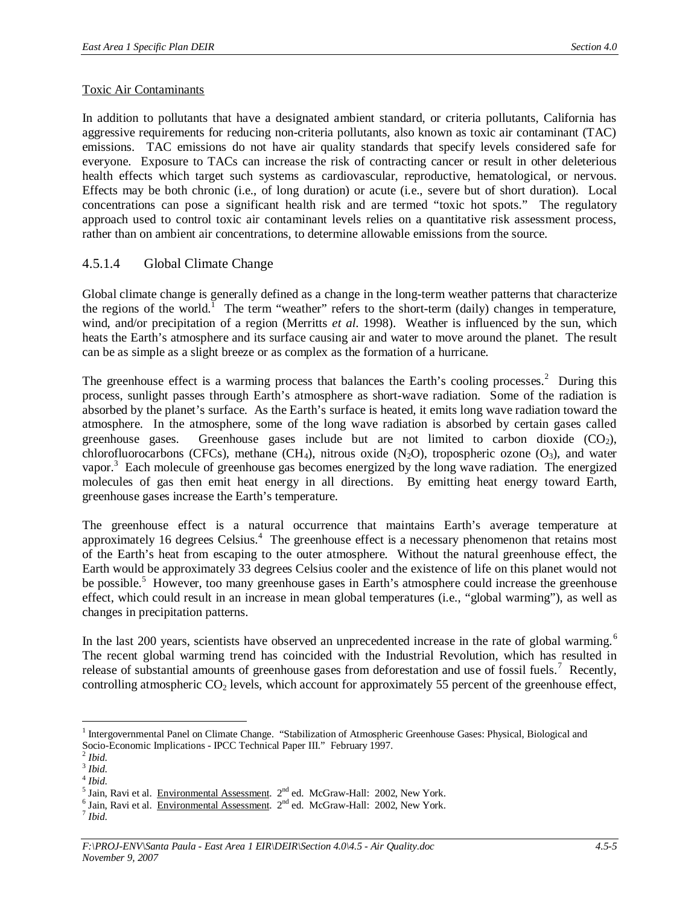### Toxic Air Contaminants

In addition to pollutants that have a designated ambient standard, or criteria pollutants, California has aggressive requirements for reducing non-criteria pollutants, also known as toxic air contaminant (TAC) emissions. TAC emissions do not have air quality standards that specify levels considered safe for everyone. Exposure to TACs can increase the risk of contracting cancer or result in other deleterious health effects which target such systems as cardiovascular, reproductive, hematological, or nervous. Effects may be both chronic (i.e., of long duration) or acute (i.e., severe but of short duration). Local concentrations can pose a significant health risk and are termed "toxic hot spots." The regulatory approach used to control toxic air contaminant levels relies on a quantitative risk assessment process, rather than on ambient air concentrations, to determine allowable emissions from the source.

# 4.5.1.4 Global Climate Change

Global climate change is generally defined as a change in the long-term weather patterns that characterize the regions of the world.<sup>1</sup> The term "weather" refers to the short-term (daily) changes in temperature, wind, and/or precipitation of a region (Merritts *et al.* 1998). Weather is influenced by the sun, which heats the Earth's atmosphere and its surface causing air and water to move around the planet. The result can be as simple as a slight breeze or as complex as the formation of a hurricane.

The greenhouse effect is a warming process that balances the Earth's cooling processes.<sup>2</sup> During this process, sunlight passes through Earth's atmosphere as short-wave radiation. Some of the radiation is absorbed by the planet's surface. As the Earth's surface is heated, it emits long wave radiation toward the atmosphere. In the atmosphere, some of the long wave radiation is absorbed by certain gases called greenhouse gases. Greenhouse gases include but are not limited to carbon dioxide  $(CO<sub>2</sub>)$ , chlorofluorocarbons (CFCs), methane (CH<sub>4</sub>), nitrous oxide (N<sub>2</sub>O), tropospheric ozone (O<sub>3</sub>), and water vapor.<sup>3</sup> Each molecule of greenhouse gas becomes energized by the long wave radiation. The energized molecules of gas then emit heat energy in all directions. By emitting heat energy toward Earth, greenhouse gases increase the Earth's temperature.

The greenhouse effect is a natural occurrence that maintains Earth's average temperature at approximately 16 degrees Celsius.<sup>4</sup> The greenhouse effect is a necessary phenomenon that retains most of the Earth's heat from escaping to the outer atmosphere. Without the natural greenhouse effect, the Earth would be approximately 33 degrees Celsius cooler and the existence of life on this planet would not be possible.<sup>5</sup> However, too many greenhouse gases in Earth's atmosphere could increase the greenhouse effect, which could result in an increase in mean global temperatures (i.e., "global warming"), as well as changes in precipitation patterns.

In the last 200 years, scientists have observed an unprecedented increase in the rate of global warming.<sup>6</sup> The recent global warming trend has coincided with the Industrial Revolution, which has resulted in release of substantial amounts of greenhouse gases from deforestation and use of fossil fuels.<sup>7</sup> Recently, controlling atmospheric  $CO<sub>2</sub>$  levels, which account for approximately 55 percent of the greenhouse effect,

<sup>&</sup>lt;sup>1</sup> Intergovernmental Panel on Climate Change. "Stabilization of Atmospheric Greenhouse Gases: Physical, Biological and Socio-Economic Implications - IPCC Technical Paper III." February 1997.

<sup>2</sup> *Ibid*.

<sup>3</sup> *Ibid*.

<sup>4</sup> *Ibid*.

<sup>&</sup>lt;sup>5</sup> Jain, Ravi et al. Environmental Assessment. 2<sup>nd</sup> ed. McGraw-Hall: 2002, New York.

 $^6$  Jain, Ravi et al. Environmental Assessment.  $2^{nd}$  ed. McGraw-Hall: 2002, New York.

<sup>7</sup> *Ibid*.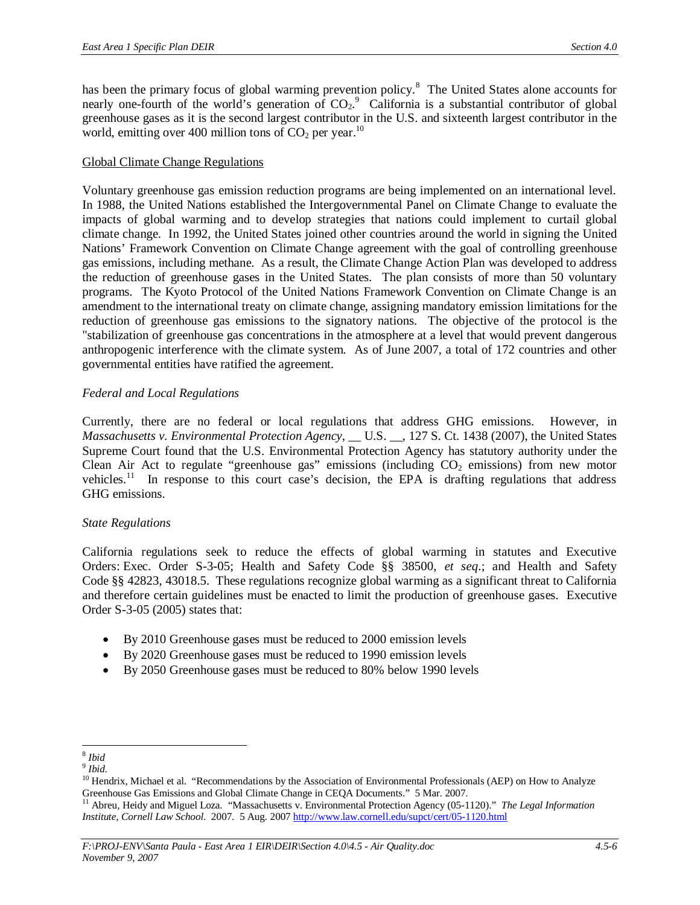has been the primary focus of global warming prevention policy.<sup>8</sup> The United States alone accounts for nearly one-fourth of the world's generation of  $CO_2$ .<sup>9</sup> California is a substantial contributor of global greenhouse gases as it is the second largest contributor in the U.S. and sixteenth largest contributor in the world, emitting over 400 million tons of  $CO<sub>2</sub>$  per year.<sup>10</sup>

### Global Climate Change Regulations

Voluntary greenhouse gas emission reduction programs are being implemented on an international level. In 1988, the United Nations established the Intergovernmental Panel on Climate Change to evaluate the impacts of global warming and to develop strategies that nations could implement to curtail global climate change. In 1992, the United States joined other countries around the world in signing the United Nations' Framework Convention on Climate Change agreement with the goal of controlling greenhouse gas emissions, including methane. As a result, the Climate Change Action Plan was developed to address the reduction of greenhouse gases in the United States. The plan consists of more than 50 voluntary programs. The Kyoto Protocol of the United Nations Framework Convention on Climate Change is an amendment to the international treaty on climate change, assigning mandatory emission limitations for the reduction of greenhouse gas emissions to the signatory nations. The objective of the protocol is the "stabilization of greenhouse gas concentrations in the atmosphere at a level that would prevent dangerous anthropogenic interference with the climate system. As of June 2007, a total of 172 countries and other governmental entities have ratified the agreement.

# *Federal and Local Regulations*

Currently, there are no federal or local regulations that address GHG emissions. However, in *Massachusetts v. Environmental Protection Agency*, \_\_ U.S. \_\_, 127 S. Ct. 1438 (2007), the United States Supreme Court found that the U.S. Environmental Protection Agency has statutory authority under the Clean Air Act to regulate "greenhouse gas" emissions (including  $CO<sub>2</sub>$  emissions) from new motor vehicles.<sup>11</sup> In response to this court case's decision, the EPA is drafting regulations that address GHG emissions.

# *State Regulations*

California regulations seek to reduce the effects of global warming in statutes and Executive Orders: Exec. Order S-3-05; Health and Safety Code §§ 38500, *et seq*.; and Health and Safety Code §§ 42823, 43018.5. These regulations recognize global warming as a significant threat to California and therefore certain guidelines must be enacted to limit the production of greenhouse gases. Executive Order S-3-05 (2005) states that:

- By 2010 Greenhouse gases must be reduced to 2000 emission levels
- $\bullet$  By 2020 Greenhouse gases must be reduced to 1990 emission levels
- By 2050 Greenhouse gases must be reduced to 80% below 1990 levels

<sup>8</sup> *Ibid*

<sup>9</sup> *Ibid*.

<sup>&</sup>lt;sup>10</sup> Hendrix, Michael et al. "Recommendations by the Association of Environmental Professionals (AEP) on How to Analyze Greenhouse Gas Emissions and Global Climate Change in CEQA Documents." 5 Mar. 2007.

<sup>11</sup> Abreu, Heidy and Miguel Loza. "Massachusetts v. Environmental Protection Agency (05-1120)." *The Legal Information Institute, Cornell Law School.* 2007. 5 Aug. 2007 <http://www.law.cornell.edu/supct/cert/05-1120.html>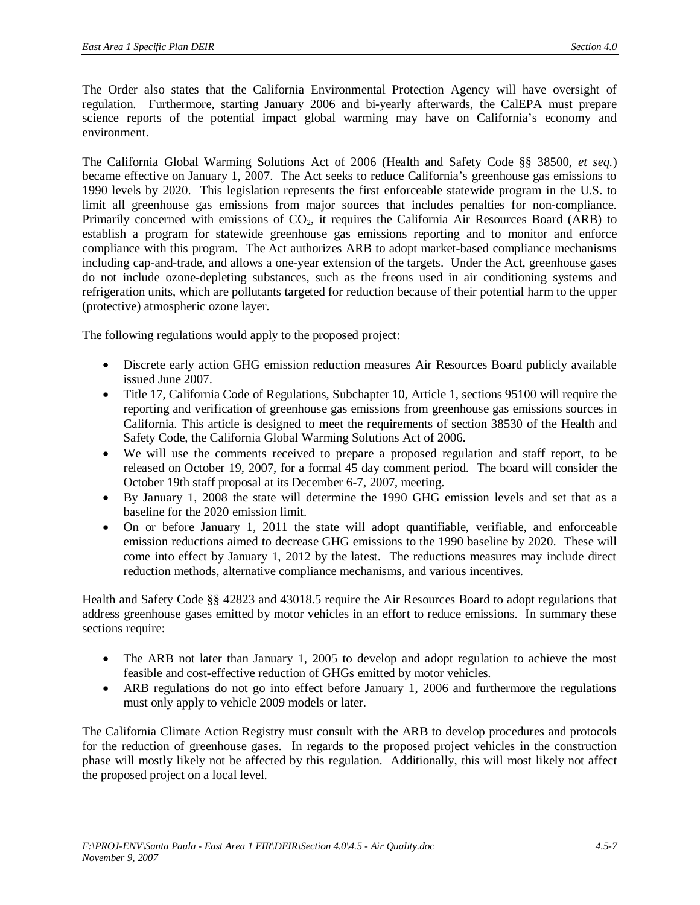The Order also states that the California Environmental Protection Agency will have oversight of regulation. Furthermore, starting January 2006 and bi-yearly afterwards, the CalEPA must prepare science reports of the potential impact global warming may have on California's economy and environment.

The California Global Warming Solutions Act of 2006 (Health and Safety Code §§ 38500, *et seq.*) became effective on January 1, 2007. The Act seeks to reduce California's greenhouse gas emissions to 1990 levels by 2020. This legislation represents the first enforceable statewide program in the U.S. to limit all greenhouse gas emissions from major sources that includes penalties for non-compliance. Primarily concerned with emissions of  $CO<sub>2</sub>$ , it requires the California Air Resources Board (ARB) to establish a program for statewide greenhouse gas emissions reporting and to monitor and enforce compliance with this program. The Act authorizes ARB to adopt market-based compliance mechanisms including cap-and-trade, and allows a one-year extension of the targets. Under the Act, greenhouse gases do not include ozone-depleting substances, such as the freons used in air conditioning systems and refrigeration units, which are pollutants targeted for reduction because of their potential harm to the upper (protective) atmospheric ozone layer.

The following regulations would apply to the proposed project:

- Discrete early action GHG emission reduction measures Air Resources Board publicly available issued June 2007.
- Title 17, California Code of Regulations, Subchapter 10, Article 1, sections 95100 will require the reporting and verification of greenhouse gas emissions from greenhouse gas emissions sources in California. This article is designed to meet the requirements of section 38530 of the Health and Safety Code, the California Global Warming Solutions Act of 2006.
- We will use the comments received to prepare a proposed regulation and staff report, to be released on October 19, 2007, for a formal 45 day comment period. The board will consider the October 19th staff proposal at its December 6-7, 2007, meeting.
- By January 1, 2008 the state will determine the 1990 GHG emission levels and set that as a baseline for the 2020 emission limit.
- On or before January 1, 2011 the state will adopt quantifiable, verifiable, and enforceable emission reductions aimed to decrease GHG emissions to the 1990 baseline by 2020. These will come into effect by January 1, 2012 by the latest. The reductions measures may include direct reduction methods, alternative compliance mechanisms, and various incentives.

Health and Safety Code §§ 42823 and 43018.5 require the Air Resources Board to adopt regulations that address greenhouse gases emitted by motor vehicles in an effort to reduce emissions. In summary these sections require:

- The ARB not later than January 1, 2005 to develop and adopt regulation to achieve the most feasible and cost-effective reduction of GHGs emitted by motor vehicles.
- ARB regulations do not go into effect before January 1, 2006 and furthermore the regulations must only apply to vehicle 2009 models or later.

The California Climate Action Registry must consult with the ARB to develop procedures and protocols for the reduction of greenhouse gases. In regards to the proposed project vehicles in the construction phase will mostly likely not be affected by this regulation. Additionally, this will most likely not affect the proposed project on a local level.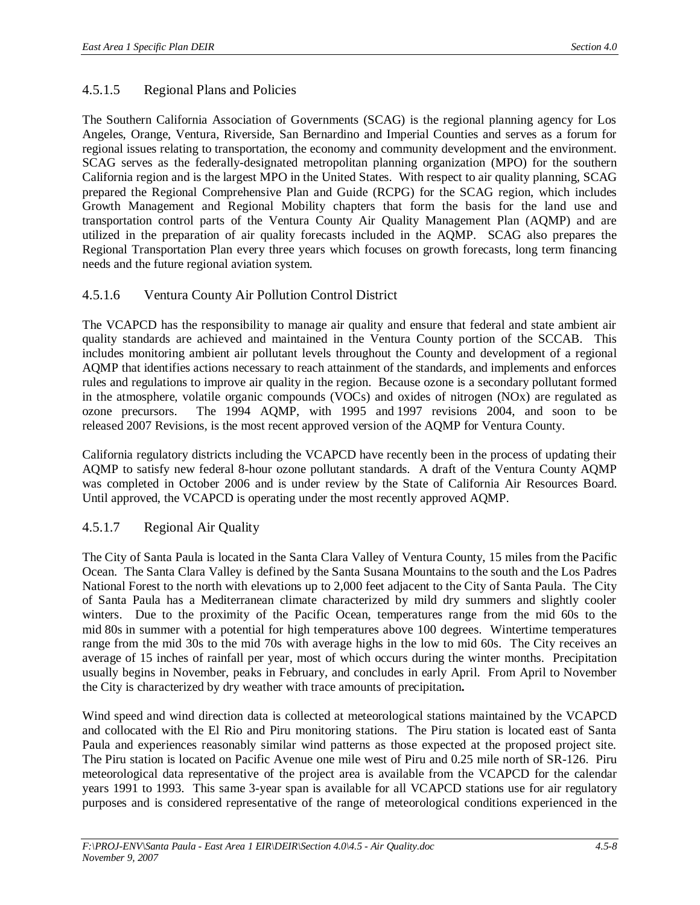# 4.5.1.5 Regional Plans and Policies

The Southern California Association of Governments (SCAG) is the regional planning agency for Los Angeles, Orange, Ventura, Riverside, San Bernardino and Imperial Counties and serves as a forum for regional issues relating to transportation, the economy and community development and the environment. SCAG serves as the federally-designated metropolitan planning organization (MPO) for the southern California region and is the largest MPO in the United States. With respect to air quality planning, SCAG prepared the Regional Comprehensive Plan and Guide (RCPG) for the SCAG region, which includes Growth Management and Regional Mobility chapters that form the basis for the land use and transportation control parts of the Ventura County Air Quality Management Plan (AQMP) and are utilized in the preparation of air quality forecasts included in the AQMP. SCAG also prepares the Regional Transportation Plan every three years which focuses on growth forecasts, long term financing needs and the future regional aviation system.

# 4.5.1.6 Ventura County Air Pollution Control District

The VCAPCD has the responsibility to manage air quality and ensure that federal and state ambient air quality standards are achieved and maintained in the Ventura County portion of the SCCAB. This includes monitoring ambient air pollutant levels throughout the County and development of a regional AQMP that identifies actions necessary to reach attainment of the standards, and implements and enforces rules and regulations to improve air quality in the region. Because ozone is a secondary pollutant formed in the atmosphere, volatile organic compounds (VOCs) and oxides of nitrogen (NOx) are regulated as ozone precursors. The 1994 AQMP, with 1995 and 1997 revisions 2004, and soon to be released 2007 Revisions, is the most recent approved version of the AQMP for Ventura County.

California regulatory districts including the VCAPCD have recently been in the process of updating their AQMP to satisfy new federal 8-hour ozone pollutant standards. A draft of the Ventura County AQMP was completed in October 2006 and is under review by the State of California Air Resources Board. Until approved, the VCAPCD is operating under the most recently approved AQMP.

# 4.5.1.7 Regional Air Quality

The City of Santa Paula is located in the Santa Clara Valley of Ventura County, 15 miles from the Pacific Ocean. The Santa Clara Valley is defined by the Santa Susana Mountains to the south and the Los Padres National Forest to the north with elevations up to 2,000 feet adjacent to the City of Santa Paula. The City of Santa Paula has a Mediterranean climate characterized by mild dry summers and slightly cooler winters. Due to the proximity of the Pacific Ocean, temperatures range from the mid 60s to the mid 80s in summer with a potential for high temperatures above 100 degrees. Wintertime temperatures range from the mid 30s to the mid 70s with average highs in the low to mid 60s. The City receives an average of 15 inches of rainfall per year, most of which occurs during the winter months. Precipitation usually begins in November, peaks in February, and concludes in early April. From April to November the City is characterized by dry weather with trace amounts of precipitation**.**

Wind speed and wind direction data is collected at meteorological stations maintained by the VCAPCD and collocated with the El Rio and Piru monitoring stations. The Piru station is located east of Santa Paula and experiences reasonably similar wind patterns as those expected at the proposed project site. The Piru station is located on Pacific Avenue one mile west of Piru and 0.25 mile north of SR-126. Piru meteorological data representative of the project area is available from the VCAPCD for the calendar years 1991 to 1993. This same 3-year span is available for all VCAPCD stations use for air regulatory purposes and is considered representative of the range of meteorological conditions experienced in the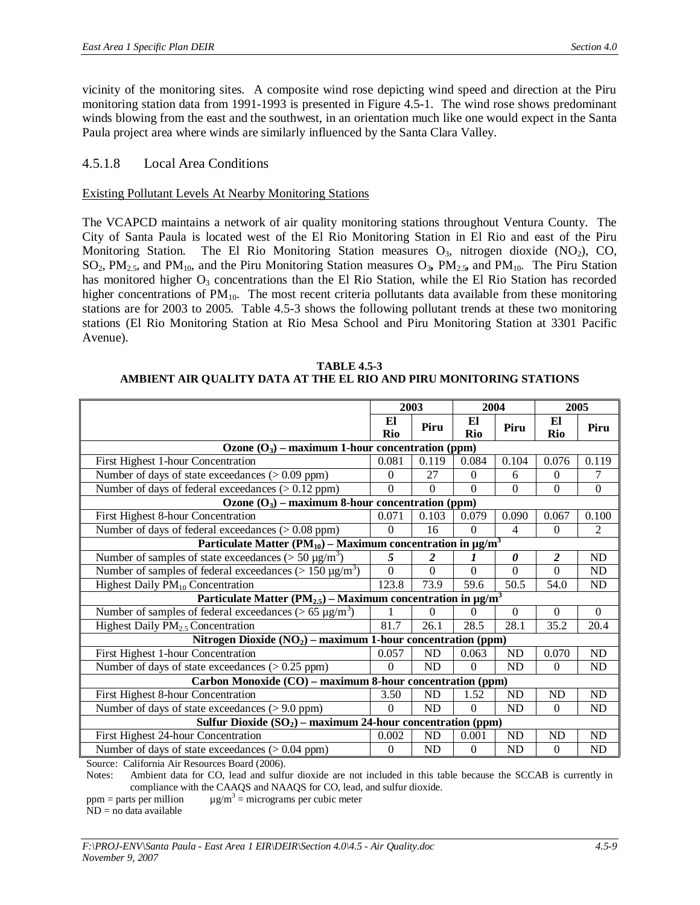vicinity of the monitoring sites. A composite wind rose depicting wind speed and direction at the Piru monitoring station data from 1991-1993 is presented in Figure 4.5-1. The wind rose shows predominant winds blowing from the east and the southwest, in an orientation much like one would expect in the Santa Paula project area where winds are similarly influenced by the Santa Clara Valley.

# 4.5.1.8 Local Area Conditions

### Existing Pollutant Levels At Nearby Monitoring Stations

The VCAPCD maintains a network of air quality monitoring stations throughout Ventura County. The City of Santa Paula is located west of the El Rio Monitoring Station in El Rio and east of the Piru Monitoring Station. The El Rio Monitoring Station measures  $O_3$ , nitrogen dioxide (NO<sub>2</sub>), CO, SO2, PM2.5, and PM10, and the Piru Monitoring Station measures O3*,* PM2.5*,* and PM10. The Piru Station has monitored higher  $O_3$  concentrations than the El Rio Station, while the El Rio Station has recorded higher concentrations of PM<sub>10</sub>. The most recent criteria pollutants data available from these monitoring stations are for 2003 to 2005. Table 4.5-3 shows the following pollutant trends at these two monitoring stations (El Rio Monitoring Station at Rio Mesa School and Piru Monitoring Station at 3301 Pacific Avenue).

**TABLE 4.5-3 AMBIENT AIR QUALITY DATA AT THE EL RIO AND PIRU MONITORING STATIONS**

|                                                                                           | 2003                                                      |           | 2004      |           |                  | 2005           |  |
|-------------------------------------------------------------------------------------------|-----------------------------------------------------------|-----------|-----------|-----------|------------------|----------------|--|
|                                                                                           | El<br>Rio                                                 | Piru      | El<br>Rio | Piru      | El<br>Rio        | Piru           |  |
| Ozone $(O_3)$ – maximum 1-hour concentration (ppm)                                        |                                                           |           |           |           |                  |                |  |
| First Highest 1-hour Concentration                                                        | 0.081                                                     | 0.119     | 0.084     | 0.104     | 0.076            | 0.119          |  |
| Number of days of state exceedances $(> 0.09$ ppm)                                        | $\Omega$                                                  | 27        | $\theta$  | 6         | $\theta$         | 7              |  |
| Number of days of federal exceedances $(> 0.12$ ppm)                                      | $\Omega$                                                  | $\Omega$  | $\theta$  | $\Omega$  | $\Omega$         | $\overline{0}$ |  |
| Ozone $(O_3)$ – maximum 8-hour concentration (ppm)                                        |                                                           |           |           |           |                  |                |  |
| First Highest 8-hour Concentration                                                        | 0.071                                                     | 0.103     | 0.079     | 0.090     | 0.067            | 0.100          |  |
| Number of days of federal exceedances (> 0.08 ppm)                                        | $\Omega$                                                  | 16        | $\theta$  | 4         | $\theta$         | 2              |  |
| Particulate Matter (PM <sub>10</sub> ) – Maximum concentration in $\mu$ g/m <sup>3</sup>  |                                                           |           |           |           |                  |                |  |
| Number of samples of state exceedances ( $> 50 \mu g/m^3$ )                               | 5                                                         | 2         | 1         | 0         | $\boldsymbol{2}$ | ND             |  |
| Number of samples of federal exceedances ( $> 150 \mu g/m^3$ )                            | 0                                                         | $\Omega$  | $\theta$  | $\Omega$  | $\Omega$         | <b>ND</b>      |  |
| Highest Daily $PM_{10}$ Concentration                                                     | 123.8                                                     | 73.9      | 59.6      | 50.5      | 54.0             | ND             |  |
| Particulate Matter (PM <sub>2.5</sub> ) – Maximum concentration in $\mu$ g/m <sup>3</sup> |                                                           |           |           |           |                  |                |  |
| Number of samples of federal exceedances ( $> 65 \mu g/m^3$ )                             |                                                           | $\Omega$  | 0         | $\Omega$  | $\Omega$         | $\Omega$       |  |
| Highest Daily $PM_{2.5}$ Concentration                                                    | 81.7                                                      | 26.1      | 28.5      | 28.1      | 35.2             | 20.4           |  |
| Nitrogen Dioxide $(NO2)$ – maximum 1-hour concentration (ppm)                             |                                                           |           |           |           |                  |                |  |
| First Highest 1-hour Concentration                                                        | 0.057                                                     | ND        | 0.063     | ND        | 0.070            | ND             |  |
| Number of days of state exceedances $(> 0.25$ ppm)                                        | $\Omega$                                                  | ND        | $\Omega$  | <b>ND</b> | $\theta$         | ND             |  |
|                                                                                           | Carbon Monoxide (CO) – maximum 8-hour concentration (ppm) |           |           |           |                  |                |  |
| First Highest 8-hour Concentration                                                        | 3.50                                                      | ND        | 1.52      | ND        | ND               | ND             |  |
| Number of days of state exceedances $(> 9.0$ ppm)                                         | $\Omega$                                                  | <b>ND</b> | $\Omega$  | <b>ND</b> | $\overline{0}$   | ND             |  |
| Sulfur Dioxide $(SO_2)$ – maximum 24-hour concentration (ppm)                             |                                                           |           |           |           |                  |                |  |
| First Highest 24-hour Concentration                                                       | 0.002                                                     | ND        | 0.001     | <b>ND</b> | ND               | <b>ND</b>      |  |
| Number of days of state exceedances $(> 0.04$ ppm)                                        | $\Omega$                                                  | ND        | 0         | ND        | $\overline{0}$   | ND             |  |
| Source: California Air Resources Board (2006)                                             |                                                           |           |           |           |                  |                |  |

Source: California Air Resources Board (2006).

Notes: Ambient data for CO, lead and sulfur dioxide are not included in this table because the SCCAB is currently in compliance with the CAAQS and NAAQS for CO, lead, and sulfur dioxide.

 $ppm =$  parts per million  $\mu$ g/m<sup>3</sup> = micrograms per cubic meter

 $ND = no$  data available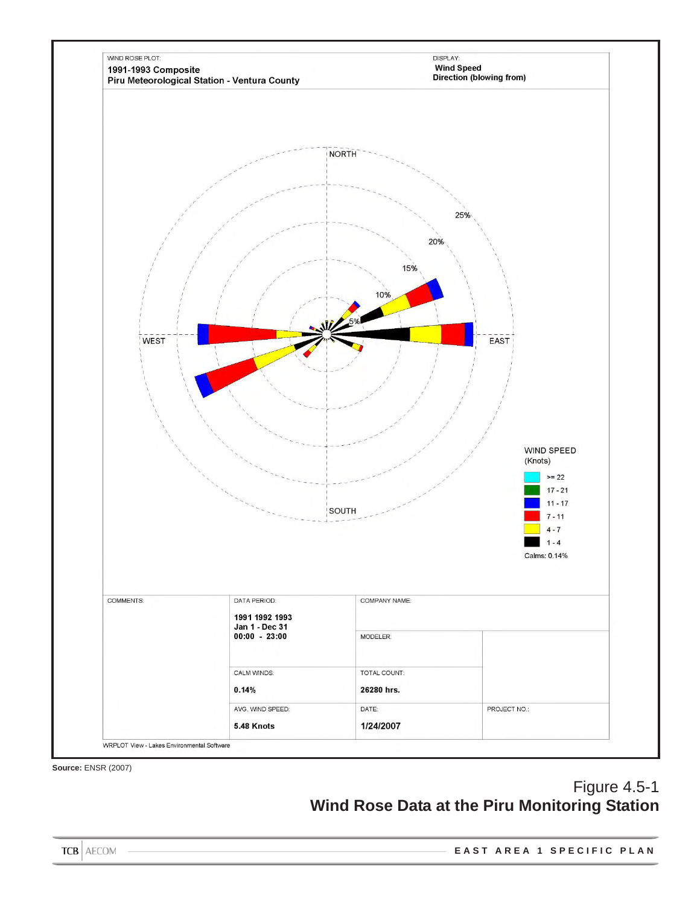

**Source:** ENSR (2007)

# Figure 4.5-1 **Wind Rose Data at the Piru Monitoring Station**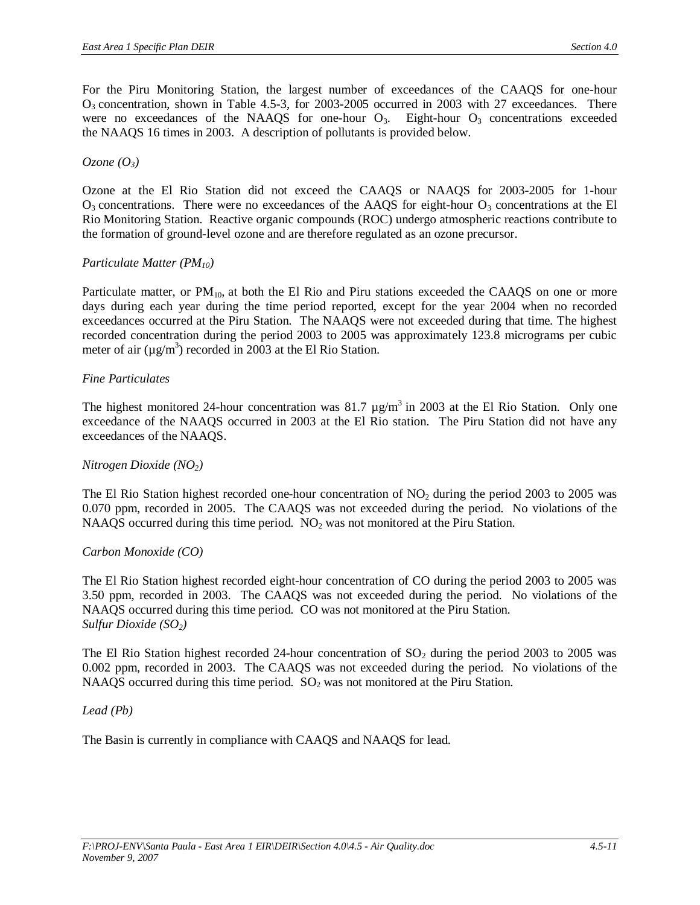For the Piru Monitoring Station, the largest number of exceedances of the CAAQS for one-hour  $O_3$  concentration, shown in Table 4.5-3, for 2003-2005 occurred in 2003 with 27 exceedances. There were no exceedances of the NAAQS for one-hour  $O_3$ . Eight-hour  $O_3$  concentrations exceeded the NAAQS 16 times in 2003. A description of pollutants is provided below.

#### $Ozone (O<sub>3</sub>)$

Ozone at the El Rio Station did not exceed the CAAQS or NAAQS for 2003-2005 for 1-hour  $O_3$  concentrations. There were no exceedances of the AAQS for eight-hour  $O_3$  concentrations at the El Rio Monitoring Station. Reactive organic compounds (ROC) undergo atmospheric reactions contribute to the formation of ground-level ozone and are therefore regulated as an ozone precursor.

### *Particulate Matter (PM10)*

Particulate matter, or PM<sub>10</sub>, at both the El Rio and Piru stations exceeded the CAAQS on one or more days during each year during the time period reported, except for the year 2004 when no recorded exceedances occurred at the Piru Station. The NAAQS were not exceeded during that time. The highest recorded concentration during the period 2003 to 2005 was approximately 123.8 micrograms per cubic meter of air  $(\mu g/m^3)$  recorded in 2003 at the El Rio Station.

### *Fine Particulates*

The highest monitored 24-hour concentration was 81.7  $\mu$ g/m<sup>3</sup> in 2003 at the El Rio Station. Only one exceedance of the NAAQS occurred in 2003 at the El Rio station. The Piru Station did not have any exceedances of the NAAQS.

# *Nitrogen Dioxide (NO2)*

The El Rio Station highest recorded one-hour concentration of NO<sub>2</sub> during the period 2003 to 2005 was 0.070 ppm, recorded in 2005. The CAAQS was not exceeded during the period. No violations of the NAAQS occurred during this time period.  $NO<sub>2</sub>$  was not monitored at the Piru Station.

# *Carbon Monoxide (CO)*

The El Rio Station highest recorded eight-hour concentration of CO during the period 2003 to 2005 was 3.50 ppm, recorded in 2003. The CAAQS was not exceeded during the period. No violations of the NAAQS occurred during this time period. CO was not monitored at the Piru Station. *Sulfur Dioxide (SO2)*

The El Rio Station highest recorded 24-hour concentration of  $SO_2$  during the period 2003 to 2005 was 0.002 ppm, recorded in 2003. The CAAQS was not exceeded during the period. No violations of the NAAQS occurred during this time period.  $SO<sub>2</sub>$  was not monitored at the Piru Station.

#### *Lead (Pb)*

The Basin is currently in compliance with CAAQS and NAAQS for lead.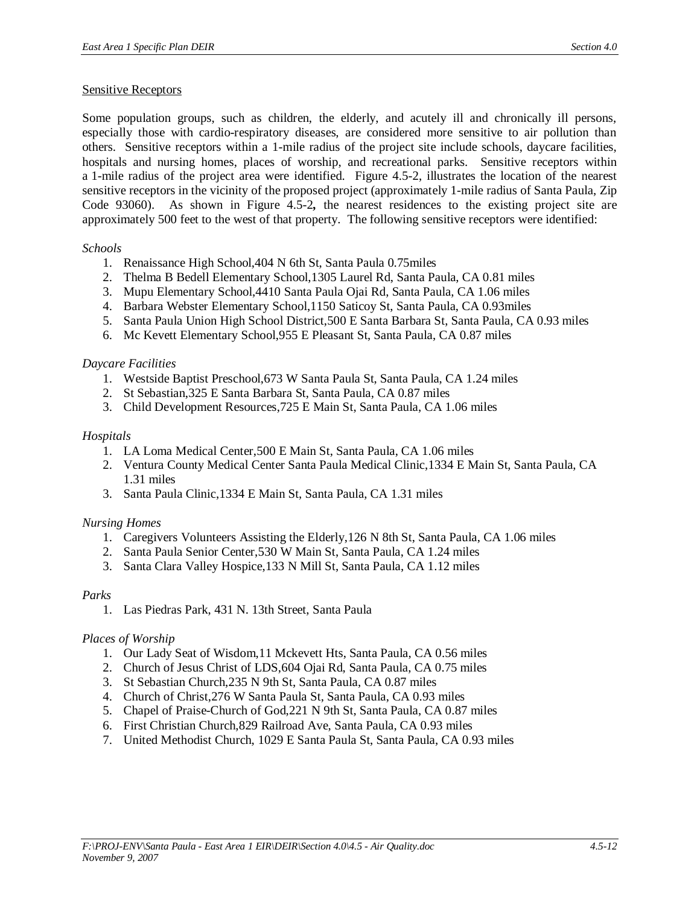### Sensitive Receptors

Some population groups, such as children, the elderly, and acutely ill and chronically ill persons, especially those with cardio-respiratory diseases, are considered more sensitive to air pollution than others. Sensitive receptors within a 1-mile radius of the project site include schools, daycare facilities, hospitals and nursing homes, places of worship, and recreational parks. Sensitive receptors within a 1-mile radius of the project area were identified. Figure 4.5-2, illustrates the location of the nearest sensitive receptors in the vicinity of the proposed project (approximately 1-mile radius of Santa Paula, Zip Code 93060). As shown in Figure 4.5-2*,* the nearest residences to the existing project site are approximately 500 feet to the west of that property. The following sensitive receptors were identified:

### *Schools*

- 1. Renaissance High School,404 N 6th St, Santa Paula 0.75miles
- 2. Thelma B Bedell Elementary School,1305 Laurel Rd, Santa Paula, CA 0.81 miles
- 3. Mupu Elementary School,4410 Santa Paula Ojai Rd, Santa Paula, CA 1.06 miles
- 4. Barbara Webster Elementary School,1150 Saticoy St, Santa Paula, CA 0.93miles
- 5. Santa Paula Union High School District,500 E Santa Barbara St, Santa Paula, CA 0.93 miles
- 6. Mc Kevett Elementary School,955 E Pleasant St, Santa Paula, CA 0.87 miles

# *Daycare Facilities*

- 1. Westside Baptist Preschool,673 W Santa Paula St, Santa Paula, CA 1.24 miles
- 2. St Sebastian,325 E Santa Barbara St, Santa Paula, CA 0.87 miles
- 3. Child Development Resources,725 E Main St, Santa Paula, CA 1.06 miles

# *Hospitals*

- 1. LA Loma Medical Center,500 E Main St, Santa Paula, CA 1.06 miles
- 2. Ventura County Medical Center Santa Paula Medical Clinic,1334 E Main St, Santa Paula, CA 1.31 miles
- 3. Santa Paula Clinic,1334 E Main St, Santa Paula, CA 1.31 miles

# *Nursing Homes*

- 1. Caregivers Volunteers Assisting the Elderly,126 N 8th St, Santa Paula, CA 1.06 miles
- 2. Santa Paula Senior Center,530 W Main St, Santa Paula, CA 1.24 miles
- 3. Santa Clara Valley Hospice,133 N Mill St, Santa Paula, CA 1.12 miles

# *Parks*

1. Las Piedras Park, 431 N. 13th Street, Santa Paula

# *Places of Worship*

- 1. Our Lady Seat of Wisdom,11 Mckevett Hts, Santa Paula, CA 0.56 miles
- 2. Church of Jesus Christ of LDS,604 Ojai Rd, Santa Paula, CA 0.75 miles
- 3. St Sebastian Church,235 N 9th St, Santa Paula, CA 0.87 miles
- 4. Church of Christ,276 W Santa Paula St, Santa Paula, CA 0.93 miles
- 5. Chapel of Praise-Church of God,221 N 9th St, Santa Paula, CA 0.87 miles
- 6. First Christian Church,829 Railroad Ave, Santa Paula, CA 0.93 miles
- 7. United Methodist Church, 1029 E Santa Paula St, Santa Paula, CA 0.93 miles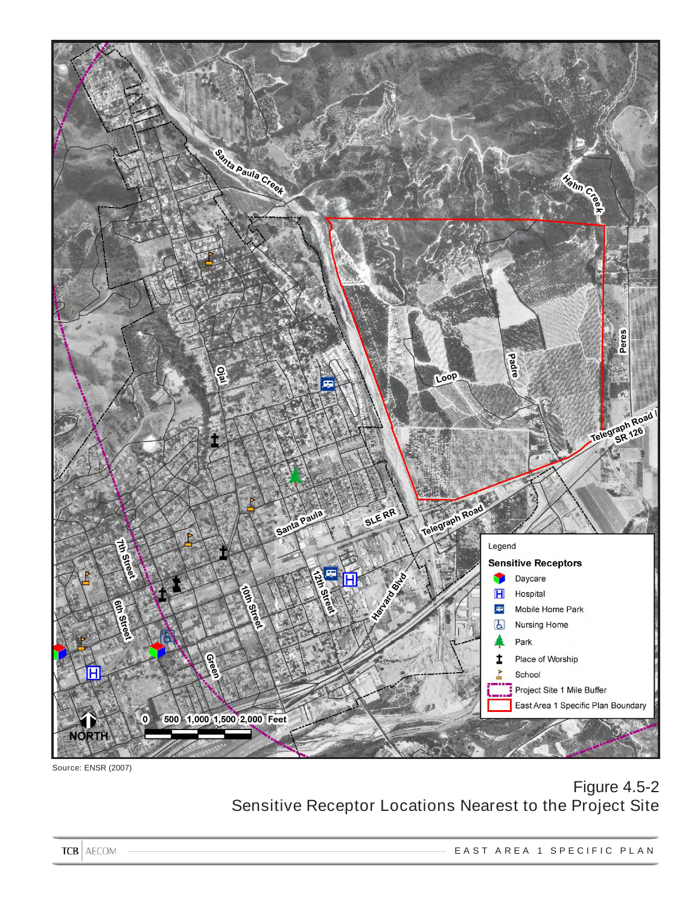

Source: ENSR (2007)

# Figure 4.5-2 Sensitive Receptor Locations Nearest to the Project Site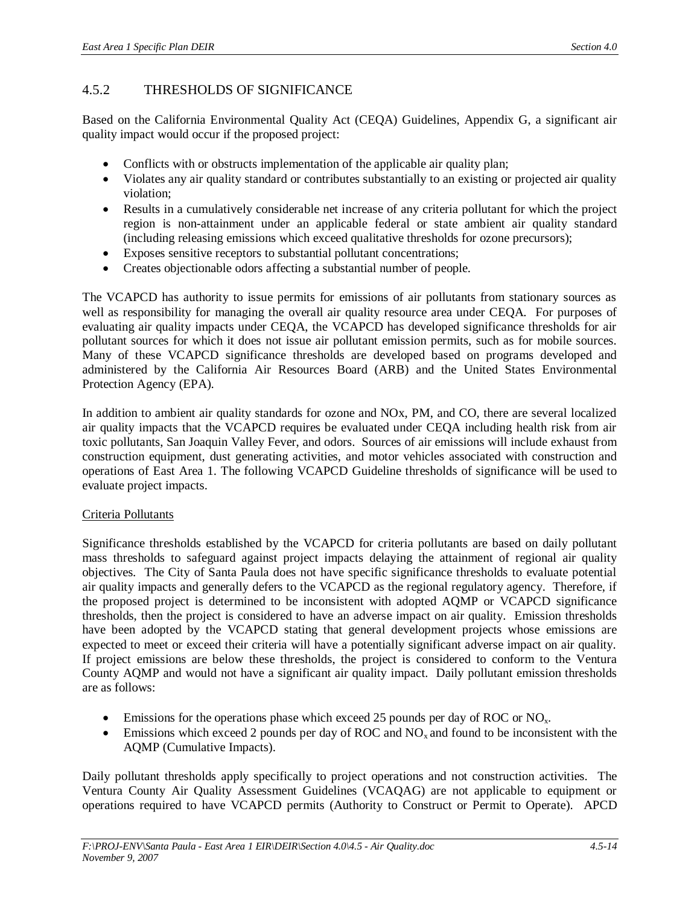# 4.5.2 THRESHOLDS OF SIGNIFICANCE

Based on the California Environmental Quality Act (CEQA) Guidelines, Appendix G, a significant air quality impact would occur if the proposed project:

- Conflicts with or obstructs implementation of the applicable air quality plan;
- Violates any air quality standard or contributes substantially to an existing or projected air quality violation;
- Results in a cumulatively considerable net increase of any criteria pollutant for which the project region is non-attainment under an applicable federal or state ambient air quality standard (including releasing emissions which exceed qualitative thresholds for ozone precursors);
- Exposes sensitive receptors to substantial pollutant concentrations;
- Creates objectionable odors affecting a substantial number of people.

The VCAPCD has authority to issue permits for emissions of air pollutants from stationary sources as well as responsibility for managing the overall air quality resource area under CEQA. For purposes of evaluating air quality impacts under CEQA, the VCAPCD has developed significance thresholds for air pollutant sources for which it does not issue air pollutant emission permits, such as for mobile sources. Many of these VCAPCD significance thresholds are developed based on programs developed and administered by the California Air Resources Board (ARB) and the United States Environmental Protection Agency (EPA).

In addition to ambient air quality standards for ozone and NOx, PM, and CO, there are several localized air quality impacts that the VCAPCD requires be evaluated under CEQA including health risk from air toxic pollutants, San Joaquin Valley Fever, and odors. Sources of air emissions will include exhaust from construction equipment, dust generating activities, and motor vehicles associated with construction and operations of East Area 1. The following VCAPCD Guideline thresholds of significance will be used to evaluate project impacts.

# Criteria Pollutants

Significance thresholds established by the VCAPCD for criteria pollutants are based on daily pollutant mass thresholds to safeguard against project impacts delaying the attainment of regional air quality objectives. The City of Santa Paula does not have specific significance thresholds to evaluate potential air quality impacts and generally defers to the VCAPCD as the regional regulatory agency. Therefore, if the proposed project is determined to be inconsistent with adopted AQMP or VCAPCD significance thresholds, then the project is considered to have an adverse impact on air quality. Emission thresholds have been adopted by the VCAPCD stating that general development projects whose emissions are expected to meet or exceed their criteria will have a potentially significant adverse impact on air quality. If project emissions are below these thresholds, the project is considered to conform to the Ventura County AQMP and would not have a significant air quality impact. Daily pollutant emission thresholds are as follows:

- $\bullet$  Emissions for the operations phase which exceed 25 pounds per day of ROC or NO<sub>x</sub>.
- $\bullet$  Emissions which exceed 2 pounds per day of ROC and NO<sub>x</sub> and found to be inconsistent with the AQMP (Cumulative Impacts).

Daily pollutant thresholds apply specifically to project operations and not construction activities. The Ventura County Air Quality Assessment Guidelines (VCAQAG) are not applicable to equipment or operations required to have VCAPCD permits (Authority to Construct or Permit to Operate). APCD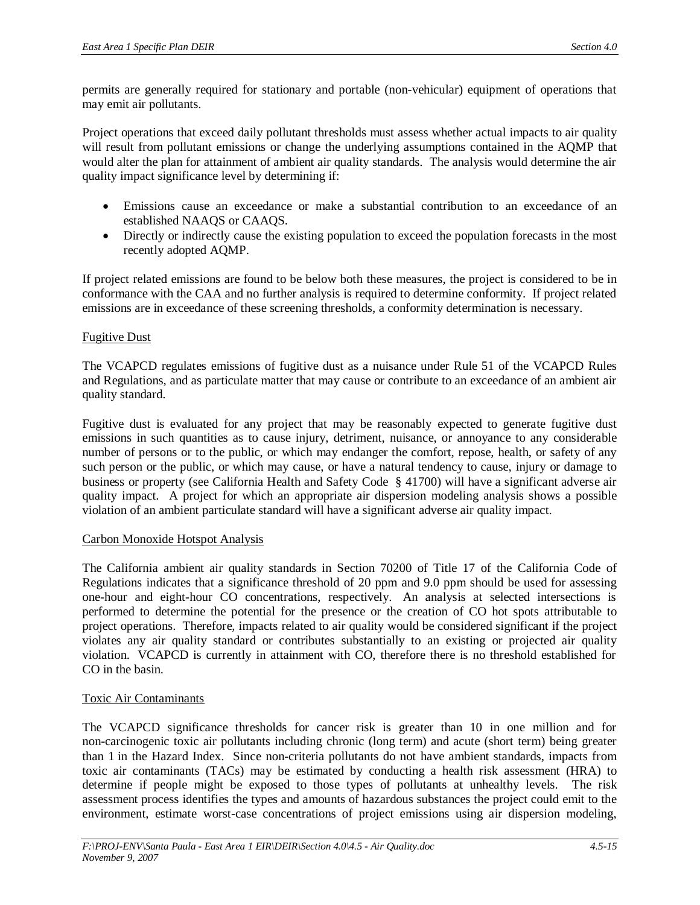permits are generally required for stationary and portable (non-vehicular) equipment of operations that may emit air pollutants.

Project operations that exceed daily pollutant thresholds must assess whether actual impacts to air quality will result from pollutant emissions or change the underlying assumptions contained in the AQMP that would alter the plan for attainment of ambient air quality standards. The analysis would determine the air quality impact significance level by determining if:

- Emissions cause an exceedance or make a substantial contribution to an exceedance of an established NAAQS or CAAQS.
- Directly or indirectly cause the existing population to exceed the population forecasts in the most recently adopted AQMP.

If project related emissions are found to be below both these measures, the project is considered to be in conformance with the CAA and no further analysis is required to determine conformity. If project related emissions are in exceedance of these screening thresholds, a conformity determination is necessary.

### Fugitive Dust

The VCAPCD regulates emissions of fugitive dust as a nuisance under Rule 51 of the VCAPCD Rules and Regulations, and as particulate matter that may cause or contribute to an exceedance of an ambient air quality standard.

Fugitive dust is evaluated for any project that may be reasonably expected to generate fugitive dust emissions in such quantities as to cause injury, detriment, nuisance, or annoyance to any considerable number of persons or to the public, or which may endanger the comfort, repose, health, or safety of any such person or the public, or which may cause, or have a natural tendency to cause, injury or damage to business or property (see California Health and Safety Code § 41700) will have a significant adverse air quality impact. A project for which an appropriate air dispersion modeling analysis shows a possible violation of an ambient particulate standard will have a significant adverse air quality impact.

#### Carbon Monoxide Hotspot Analysis

The California ambient air quality standards in Section 70200 of Title 17 of the California Code of Regulations indicates that a significance threshold of 20 ppm and 9.0 ppm should be used for assessing one-hour and eight-hour CO concentrations, respectively. An analysis at selected intersections is performed to determine the potential for the presence or the creation of CO hot spots attributable to project operations. Therefore, impacts related to air quality would be considered significant if the project violates any air quality standard or contributes substantially to an existing or projected air quality violation. VCAPCD is currently in attainment with CO, therefore there is no threshold established for CO in the basin.

#### Toxic Air Contaminants

The VCAPCD significance thresholds for cancer risk is greater than 10 in one million and for non-carcinogenic toxic air pollutants including chronic (long term) and acute (short term) being greater than 1 in the Hazard Index. Since non-criteria pollutants do not have ambient standards, impacts from toxic air contaminants (TACs) may be estimated by conducting a health risk assessment (HRA) to determine if people might be exposed to those types of pollutants at unhealthy levels. The risk assessment process identifies the types and amounts of hazardous substances the project could emit to the environment, estimate worst-case concentrations of project emissions using air dispersion modeling,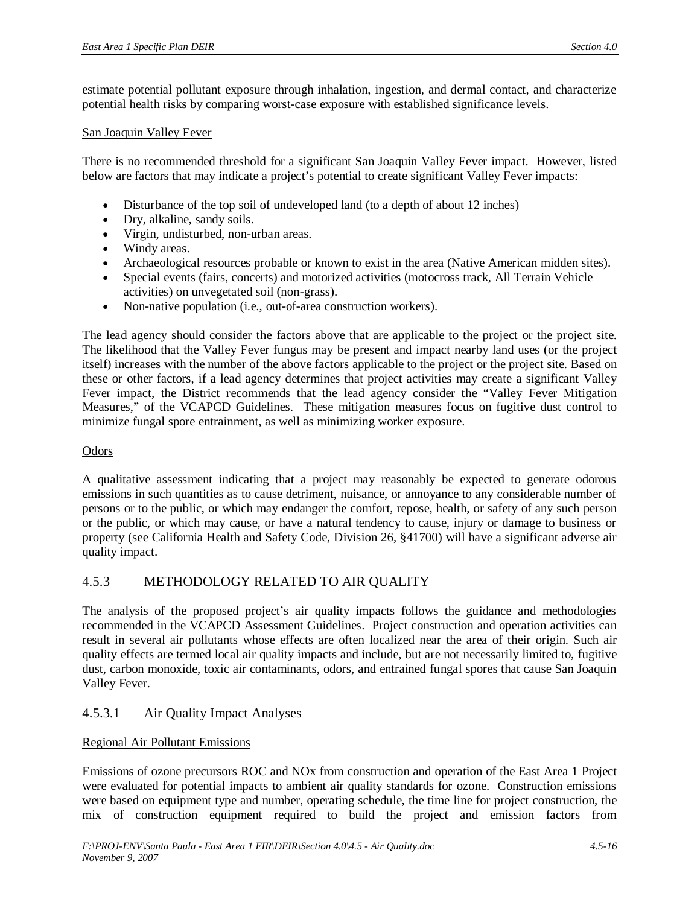estimate potential pollutant exposure through inhalation, ingestion, and dermal contact, and characterize potential health risks by comparing worst-case exposure with established significance levels.

#### San Joaquin Valley Fever

There is no recommended threshold for a significant San Joaquin Valley Fever impact. However, listed below are factors that may indicate a project's potential to create significant Valley Fever impacts:

- Disturbance of the top soil of undeveloped land (to a depth of about 12 inches)
- Dry, alkaline, sandy soils.
- Virgin, undisturbed, non-urban areas.
- Windy areas.
- Archaeological resources probable or known to exist in the area (Native American midden sites).
- Special events (fairs, concerts) and motorized activities (motocross track, All Terrain Vehicle activities) on unvegetated soil (non-grass).
- Non-native population (i.e., out-of-area construction workers).

The lead agency should consider the factors above that are applicable to the project or the project site. The likelihood that the Valley Fever fungus may be present and impact nearby land uses (or the project itself) increases with the number of the above factors applicable to the project or the project site. Based on these or other factors, if a lead agency determines that project activities may create a significant Valley Fever impact, the District recommends that the lead agency consider the "Valley Fever Mitigation Measures," of the VCAPCD Guidelines. These mitigation measures focus on fugitive dust control to minimize fungal spore entrainment, as well as minimizing worker exposure.

#### **Odors**

A qualitative assessment indicating that a project may reasonably be expected to generate odorous emissions in such quantities as to cause detriment, nuisance, or annoyance to any considerable number of persons or to the public, or which may endanger the comfort, repose, health, or safety of any such person or the public, or which may cause, or have a natural tendency to cause, injury or damage to business or property (see California Health and Safety Code, Division 26, §41700) will have a significant adverse air quality impact.

# 4.5.3 METHODOLOGY RELATED TO AIR QUALITY

The analysis of the proposed project's air quality impacts follows the guidance and methodologies recommended in the VCAPCD Assessment Guidelines. Project construction and operation activities can result in several air pollutants whose effects are often localized near the area of their origin. Such air quality effects are termed local air quality impacts and include, but are not necessarily limited to, fugitive dust, carbon monoxide, toxic air contaminants, odors, and entrained fungal spores that cause San Joaquin Valley Fever.

# 4.5.3.1 Air Quality Impact Analyses

#### Regional Air Pollutant Emissions

Emissions of ozone precursors ROC and NOx from construction and operation of the East Area 1 Project were evaluated for potential impacts to ambient air quality standards for ozone. Construction emissions were based on equipment type and number, operating schedule, the time line for project construction, the mix of construction equipment required to build the project and emission factors from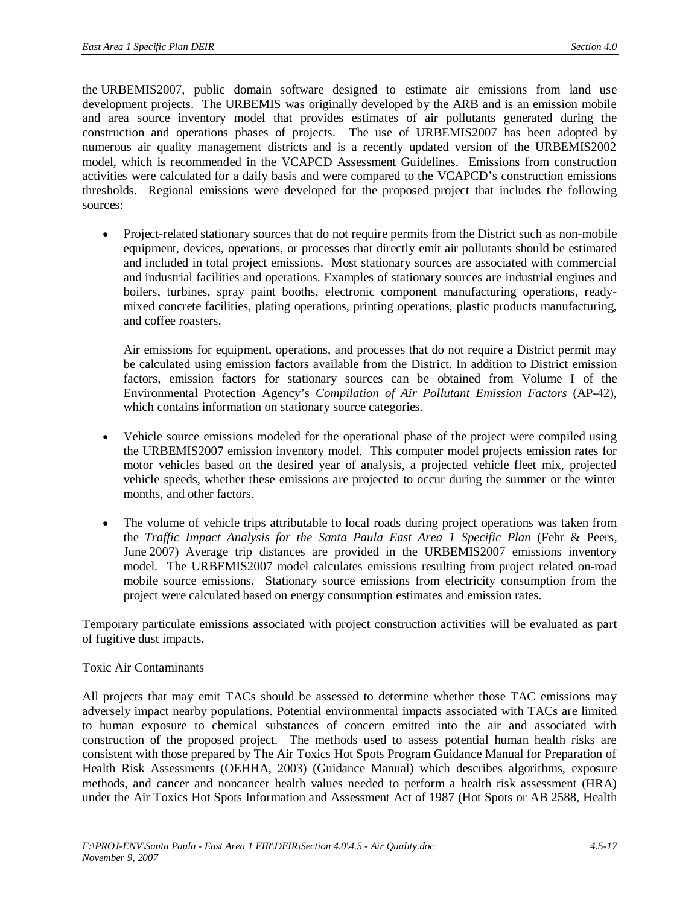the URBEMIS2007, public domain software designed to estimate air emissions from land use development projects. The URBEMIS was originally developed by the ARB and is an emission mobile and area source inventory model that provides estimates of air pollutants generated during the construction and operations phases of projects. The use of URBEMIS2007 has been adopted by numerous air quality management districts and is a recently updated version of the URBEMIS2002 model, which is recommended in the VCAPCD Assessment Guidelines. Emissions from construction activities were calculated for a daily basis and were compared to the VCAPCD's construction emissions thresholds. Regional emissions were developed for the proposed project that includes the following sources:

• Project-related stationary sources that do not require permits from the District such as non-mobile equipment, devices, operations, or processes that directly emit air pollutants should be estimated and included in total project emissions. Most stationary sources are associated with commercial and industrial facilities and operations. Examples of stationary sources are industrial engines and boilers, turbines, spray paint booths, electronic component manufacturing operations, readymixed concrete facilities, plating operations, printing operations, plastic products manufacturing, and coffee roasters.

Air emissions for equipment, operations, and processes that do not require a District permit may be calculated using emission factors available from the District. In addition to District emission factors, emission factors for stationary sources can be obtained from Volume I of the Environmental Protection Agency's *Compilation of Air Pollutant Emission Factors* (AP-42), which contains information on stationary source categories.

- Vehicle source emissions modeled for the operational phase of the project were compiled using the URBEMIS2007 emission inventory model. This computer model projects emission rates for motor vehicles based on the desired year of analysis, a projected vehicle fleet mix, projected vehicle speeds, whether these emissions are projected to occur during the summer or the winter months, and other factors.
- The volume of vehicle trips attributable to local roads during project operations was taken from the *Traffic Impact Analysis for the Santa Paula East Area 1 Specific Plan* (Fehr & Peers, June 2007) Average trip distances are provided in the URBEMIS2007 emissions inventory model. The URBEMIS2007 model calculates emissions resulting from project related on-road mobile source emissions. Stationary source emissions from electricity consumption from the project were calculated based on energy consumption estimates and emission rates.

Temporary particulate emissions associated with project construction activities will be evaluated as part of fugitive dust impacts.

#### Toxic Air Contaminants

All projects that may emit TACs should be assessed to determine whether those TAC emissions may adversely impact nearby populations. Potential environmental impacts associated with TACs are limited to human exposure to chemical substances of concern emitted into the air and associated with construction of the proposed project. The methods used to assess potential human health risks are consistent with those prepared by The Air Toxics Hot Spots Program Guidance Manual for Preparation of Health Risk Assessments (OEHHA, 2003) (Guidance Manual) which describes algorithms, exposure methods, and cancer and noncancer health values needed to perform a health risk assessment (HRA) under the Air Toxics Hot Spots Information and Assessment Act of 1987 (Hot Spots or AB 2588, Health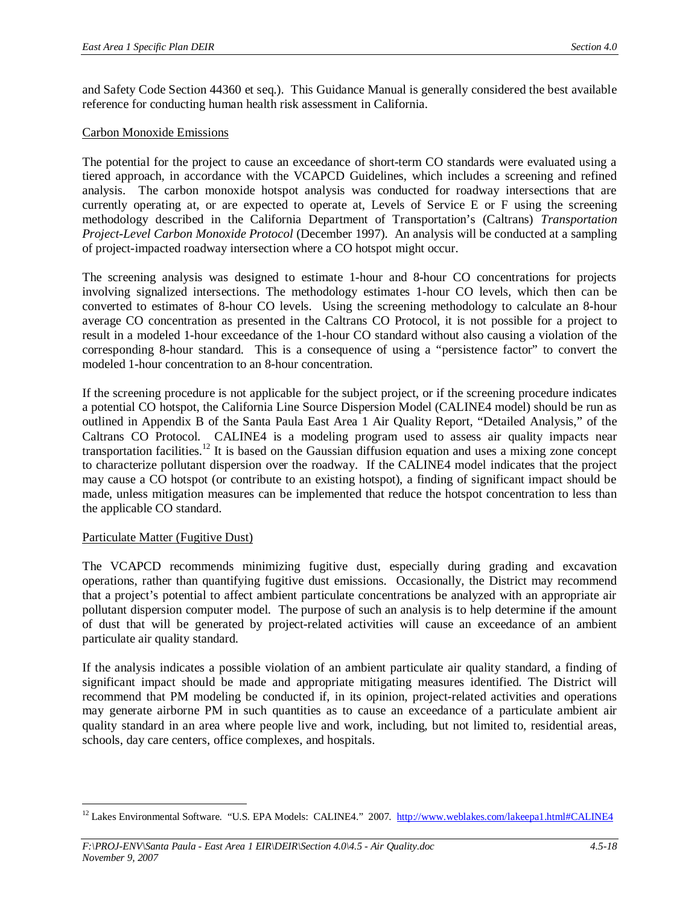and Safety Code Section 44360 et seq.). This Guidance Manual is generally considered the best available reference for conducting human health risk assessment in California.

### Carbon Monoxide Emissions

The potential for the project to cause an exceedance of short-term CO standards were evaluated using a tiered approach, in accordance with the VCAPCD Guidelines, which includes a screening and refined analysis. The carbon monoxide hotspot analysis was conducted for roadway intersections that are currently operating at, or are expected to operate at, Levels of Service E or F using the screening methodology described in the California Department of Transportation's (Caltrans) *Transportation Project-Level Carbon Monoxide Protocol* (December 1997). An analysis will be conducted at a sampling of project-impacted roadway intersection where a CO hotspot might occur.

The screening analysis was designed to estimate 1-hour and 8-hour CO concentrations for projects involving signalized intersections. The methodology estimates 1-hour CO levels, which then can be converted to estimates of 8-hour CO levels. Using the screening methodology to calculate an 8-hour average CO concentration as presented in the Caltrans CO Protocol, it is not possible for a project to result in a modeled 1-hour exceedance of the 1-hour CO standard without also causing a violation of the corresponding 8-hour standard. This is a consequence of using a "persistence factor" to convert the modeled 1-hour concentration to an 8-hour concentration.

If the screening procedure is not applicable for the subject project, or if the screening procedure indicates a potential CO hotspot, the California Line Source Dispersion Model (CALINE4 model) should be run as outlined in Appendix B of the Santa Paula East Area 1 Air Quality Report, "Detailed Analysis," of the Caltrans CO Protocol. CALINE4 is a modeling program used to assess air quality impacts near transportation facilities.<sup>12</sup> It is based on the Gaussian diffusion equation and uses a mixing zone concept to characterize pollutant dispersion over the roadway. If the CALINE4 model indicates that the project may cause a CO hotspot (or contribute to an existing hotspot), a finding of significant impact should be made, unless mitigation measures can be implemented that reduce the hotspot concentration to less than the applicable CO standard.

#### Particulate Matter (Fugitive Dust)

The VCAPCD recommends minimizing fugitive dust, especially during grading and excavation operations, rather than quantifying fugitive dust emissions. Occasionally, the District may recommend that a project's potential to affect ambient particulate concentrations be analyzed with an appropriate air pollutant dispersion computer model. The purpose of such an analysis is to help determine if the amount of dust that will be generated by project-related activities will cause an exceedance of an ambient particulate air quality standard.

If the analysis indicates a possible violation of an ambient particulate air quality standard, a finding of significant impact should be made and appropriate mitigating measures identified. The District will recommend that PM modeling be conducted if, in its opinion, project-related activities and operations may generate airborne PM in such quantities as to cause an exceedance of a particulate ambient air quality standard in an area where people live and work, including, but not limited to, residential areas, schools, day care centers, office complexes, and hospitals.

<sup>&</sup>lt;sup>12</sup> Lakes Environmental Software. "U.S. EPA Models: CALINE4." 2007. <http://www.weblakes.com/lakeepa1.html#CALINE4>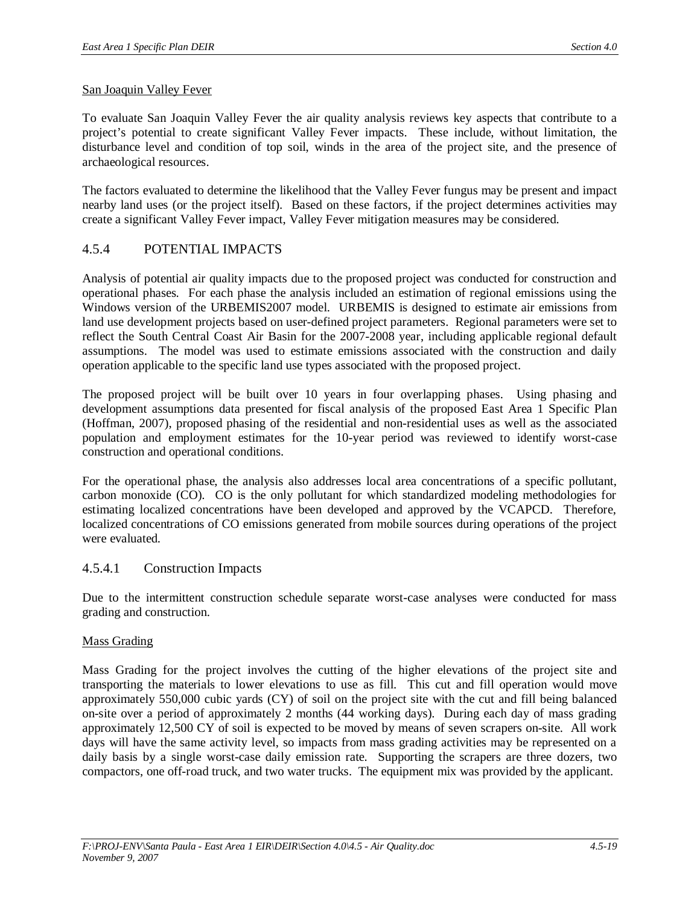### San Joaquin Valley Fever

To evaluate San Joaquin Valley Fever the air quality analysis reviews key aspects that contribute to a project's potential to create significant Valley Fever impacts. These include, without limitation, the disturbance level and condition of top soil, winds in the area of the project site, and the presence of archaeological resources.

The factors evaluated to determine the likelihood that the Valley Fever fungus may be present and impact nearby land uses (or the project itself). Based on these factors, if the project determines activities may create a significant Valley Fever impact, Valley Fever mitigation measures may be considered.

# 4.5.4 POTENTIAL IMPACTS

Analysis of potential air quality impacts due to the proposed project was conducted for construction and operational phases. For each phase the analysis included an estimation of regional emissions using the Windows version of the URBEMIS2007 model. URBEMIS is designed to estimate air emissions from land use development projects based on user-defined project parameters. Regional parameters were set to reflect the South Central Coast Air Basin for the 2007-2008 year, including applicable regional default assumptions. The model was used to estimate emissions associated with the construction and daily operation applicable to the specific land use types associated with the proposed project.

The proposed project will be built over 10 years in four overlapping phases. Using phasing and development assumptions data presented for fiscal analysis of the proposed East Area 1 Specific Plan (Hoffman, 2007), proposed phasing of the residential and non-residential uses as well as the associated population and employment estimates for the 10-year period was reviewed to identify worst-case construction and operational conditions.

For the operational phase, the analysis also addresses local area concentrations of a specific pollutant, carbon monoxide (CO). CO is the only pollutant for which standardized modeling methodologies for estimating localized concentrations have been developed and approved by the VCAPCD. Therefore, localized concentrations of CO emissions generated from mobile sources during operations of the project were evaluated.

# 4.5.4.1 Construction Impacts

Due to the intermittent construction schedule separate worst-case analyses were conducted for mass grading and construction.

#### Mass Grading

Mass Grading for the project involves the cutting of the higher elevations of the project site and transporting the materials to lower elevations to use as fill. This cut and fill operation would move approximately 550,000 cubic yards (CY) of soil on the project site with the cut and fill being balanced on-site over a period of approximately 2 months (44 working days). During each day of mass grading approximately 12,500 CY of soil is expected to be moved by means of seven scrapers on-site. All work days will have the same activity level, so impacts from mass grading activities may be represented on a daily basis by a single worst-case daily emission rate. Supporting the scrapers are three dozers, two compactors, one off-road truck, and two water trucks. The equipment mix was provided by the applicant.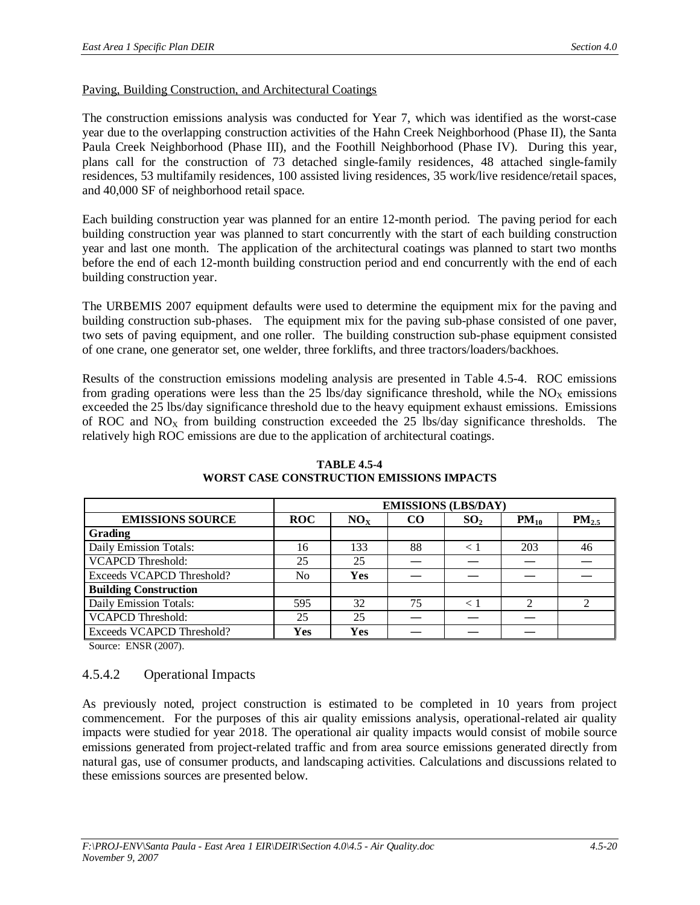### Paving, Building Construction, and Architectural Coatings

The construction emissions analysis was conducted for Year 7, which was identified as the worst-case year due to the overlapping construction activities of the Hahn Creek Neighborhood (Phase II), the Santa Paula Creek Neighborhood (Phase III), and the Foothill Neighborhood (Phase IV). During this year, plans call for the construction of 73 detached single-family residences, 48 attached single-family residences, 53 multifamily residences, 100 assisted living residences, 35 work/live residence/retail spaces, and 40,000 SF of neighborhood retail space.

Each building construction year was planned for an entire 12-month period. The paving period for each building construction year was planned to start concurrently with the start of each building construction year and last one month. The application of the architectural coatings was planned to start two months before the end of each 12-month building construction period and end concurrently with the end of each building construction year.

The URBEMIS 2007 equipment defaults were used to determine the equipment mix for the paving and building construction sub-phases. The equipment mix for the paving sub-phase consisted of one paver, two sets of paving equipment, and one roller. The building construction sub-phase equipment consisted of one crane, one generator set, one welder, three forklifts, and three tractors/loaders/backhoes.

Results of the construction emissions modeling analysis are presented in Table 4.5-4. ROC emissions from grading operations were less than the 25 lbs/day significance threshold, while the  $NO_x$  emissions exceeded the 25 lbs/day significance threshold due to the heavy equipment exhaust emissions. Emissions of ROC and  $NO<sub>x</sub>$  from building construction exceeded the 25 lbs/day significance thresholds. The relatively high ROC emissions are due to the application of architectural coatings.

|                              | <b>EMISSIONS (LBS/DAY)</b> |                 |     |                 |           |            |
|------------------------------|----------------------------|-----------------|-----|-----------------|-----------|------------|
| <b>EMISSIONS SOURCE</b>      | <b>ROC</b>                 | NO <sub>x</sub> | CO. | SO <sub>2</sub> | $PM_{10}$ | $PM_{2.5}$ |
| Grading                      |                            |                 |     |                 |           |            |
| Daily Emission Totals:       | 16                         | 133             | 88  |                 | 203       | 46         |
| <b>VCAPCD Threshold:</b>     | 25                         | 25              |     |                 |           |            |
| Exceeds VCAPCD Threshold?    | No                         | Yes             |     |                 |           |            |
| <b>Building Construction</b> |                            |                 |     |                 |           |            |
| Daily Emission Totals:       | 595                        | 32              | 75  |                 |           |            |
| <b>VCAPCD Threshold:</b>     | 25                         | 25              |     |                 |           |            |
| Exceeds VCAPCD Threshold?    | Yes                        | Yes             |     |                 |           |            |

**TABLE 4.5-4 WORST CASE CONSTRUCTION EMISSIONS IMPACTS**

Source: ENSR (2007).

# 4.5.4.2 Operational Impacts

As previously noted, project construction is estimated to be completed in 10 years from project commencement. For the purposes of this air quality emissions analysis, operational-related air quality impacts were studied for year 2018. The operational air quality impacts would consist of mobile source emissions generated from project-related traffic and from area source emissions generated directly from natural gas, use of consumer products, and landscaping activities. Calculations and discussions related to these emissions sources are presented below.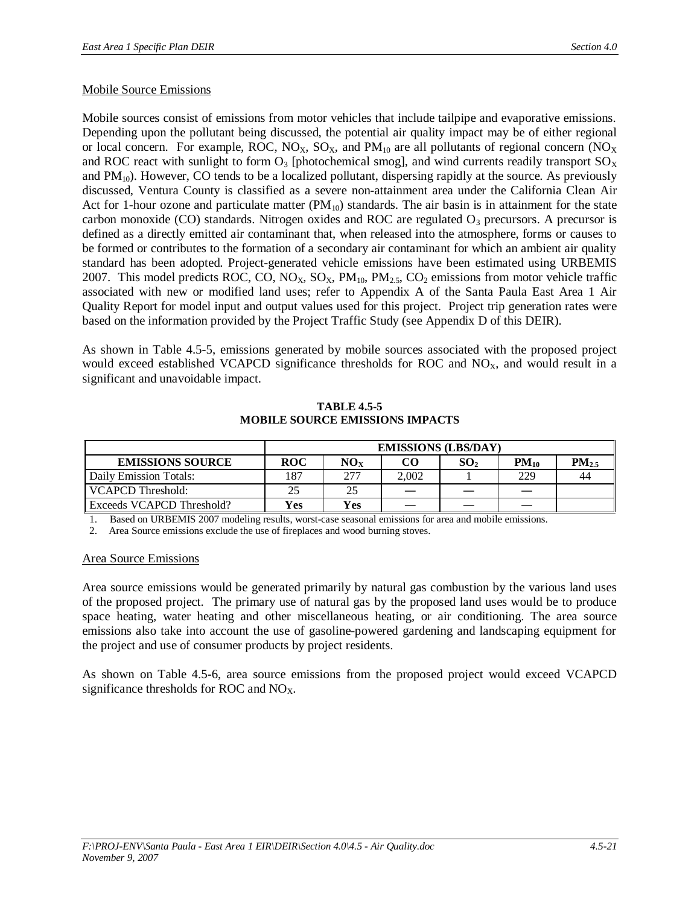### Mobile Source Emissions

Mobile sources consist of emissions from motor vehicles that include tailpipe and evaporative emissions. Depending upon the pollutant being discussed, the potential air quality impact may be of either regional or local concern. For example, ROC,  $NO<sub>X</sub>$ ,  $SO<sub>X</sub>$ , and  $PM<sub>10</sub>$  are all pollutants of regional concern ( $NO<sub>X</sub>$ and ROC react with sunlight to form  $O_3$  [photochemical smog], and wind currents readily transport  $SO_\text{X}$ and  $PM_{10}$ ). However, CO tends to be a localized pollutant, dispersing rapidly at the source. As previously discussed, Ventura County is classified as a severe non-attainment area under the California Clean Air Act for 1-hour ozone and particulate matter  $(PM_{10})$  standards. The air basin is in attainment for the state carbon monoxide (CO) standards. Nitrogen oxides and ROC are regulated  $O_3$  precursors. A precursor is defined as a directly emitted air contaminant that, when released into the atmosphere, forms or causes to be formed or contributes to the formation of a secondary air contaminant for which an ambient air quality standard has been adopted. Project-generated vehicle emissions have been estimated using URBEMIS 2007. This model predicts ROC, CO, NO<sub>X</sub>, SO<sub>X</sub>, PM<sub>10</sub>, PM<sub>2.5</sub>, CO<sub>2</sub> emissions from motor vehicle traffic associated with new or modified land uses; refer to Appendix A of the Santa Paula East Area 1 Air Quality Report for model input and output values used for this project. Project trip generation rates were based on the information provided by the Project Traffic Study (see Appendix D of this DEIR).

As shown in Table 4.5-5, emissions generated by mobile sources associated with the proposed project would exceed established VCAPCD significance thresholds for ROC and  $NO<sub>X</sub>$ , and would result in a significant and unavoidable impact.

|                                  | <b>EMISSIONS (LBS/DAY)</b> |                      |       |                 |           |            |
|----------------------------------|----------------------------|----------------------|-------|-----------------|-----------|------------|
| <b>EMISSIONS SOURCE</b>          | <b>ROC</b>                 | $\rm\mathbf{NO_{X}}$ | CO    | SO <sub>2</sub> | $PM_{10}$ | $PM_{2.5}$ |
| Daily Emission Totals:           | 187                        | 277                  | 2.002 |                 | 229       | 44         |
| VCAPCD Threshold:                |                            | 25                   |       |                 |           |            |
| <b>Exceeds VCAPCD Threshold?</b> | Yes                        | Yes                  |       |                 |           |            |

#### **TABLE 4.5-5 MOBILE SOURCE EMISSIONS IMPACTS**

1. Based on URBEMIS 2007 modeling results, worst-case seasonal emissions for area and mobile emissions.

2. Area Source emissions exclude the use of fireplaces and wood burning stoves.

#### Area Source Emissions

Area source emissions would be generated primarily by natural gas combustion by the various land uses of the proposed project. The primary use of natural gas by the proposed land uses would be to produce space heating, water heating and other miscellaneous heating, or air conditioning. The area source emissions also take into account the use of gasoline-powered gardening and landscaping equipment for the project and use of consumer products by project residents.

As shown on Table 4.5-6, area source emissions from the proposed project would exceed VCAPCD significance thresholds for ROC and  $NO<sub>X</sub>$ .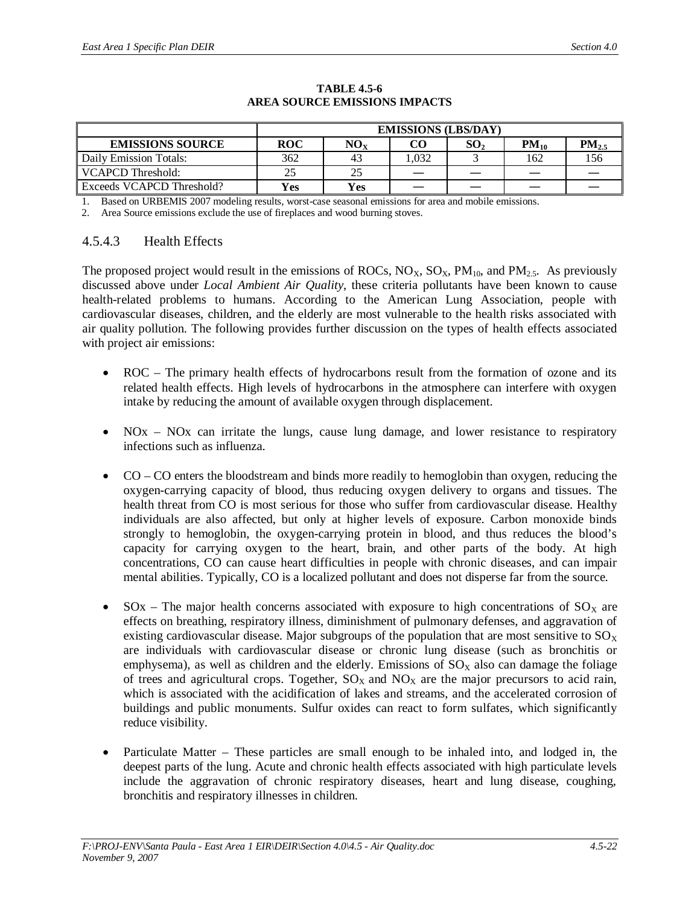|                           | <b>EMISSIONS (LBS/DAY)</b> |               |      |                 |           |            |
|---------------------------|----------------------------|---------------|------|-----------------|-----------|------------|
| <b>EMISSIONS SOURCE</b>   | <b>ROC</b>                 | $\rm{NO_{X}}$ | CO   | SO <sub>2</sub> | $PM_{10}$ | $PM_{2.5}$ |
| Daily Emission Totals:    | 362                        | 43            | .032 |                 | 162       | 156        |
| VCAPCD Threshold:         |                            | 25            |      |                 |           |            |
| Exceeds VCAPCD Threshold? | Yes                        | Yes           |      |                 |           |            |

#### **TABLE 4.5-6 AREA SOURCE EMISSIONS IMPACTS**

1. Based on URBEMIS 2007 modeling results, worst-case seasonal emissions for area and mobile emissions.

2. Area Source emissions exclude the use of fireplaces and wood burning stoves.

# 4.5.4.3 Health Effects

The proposed project would result in the emissions of ROCs,  $NO<sub>X</sub>$ ,  $SO<sub>X</sub>$ ,  $PM<sub>10</sub>$ , and  $PM<sub>2.5</sub>$ . As previously discussed above under *Local Ambient Air Quality*, these criteria pollutants have been known to cause health-related problems to humans. According to the American Lung Association, people with cardiovascular diseases, children, and the elderly are most vulnerable to the health risks associated with air quality pollution. The following provides further discussion on the types of health effects associated with project air emissions:

- ROC The primary health effects of hydrocarbons result from the formation of ozone and its related health effects. High levels of hydrocarbons in the atmosphere can interfere with oxygen intake by reducing the amount of available oxygen through displacement.
- $NOX NOx$  can irritate the lungs, cause lung damage, and lower resistance to respiratory infections such as influenza.
- x CO CO enters the bloodstream and binds more readily to hemoglobin than oxygen, reducing the oxygen-carrying capacity of blood, thus reducing oxygen delivery to organs and tissues. The health threat from CO is most serious for those who suffer from cardiovascular disease. Healthy individuals are also affected, but only at higher levels of exposure. Carbon monoxide binds strongly to hemoglobin, the oxygen-carrying protein in blood, and thus reduces the blood's capacity for carrying oxygen to the heart, brain, and other parts of the body. At high concentrations, CO can cause heart difficulties in people with chronic diseases, and can impair mental abilities. Typically, CO is a localized pollutant and does not disperse far from the source.
- $SOS -$  The major health concerns associated with exposure to high concentrations of  $SO<sub>x</sub>$  are effects on breathing, respiratory illness, diminishment of pulmonary defenses, and aggravation of existing cardiovascular disease. Major subgroups of the population that are most sensitive to  $SO<sub>x</sub>$ are individuals with cardiovascular disease or chronic lung disease (such as bronchitis or emphysema), as well as children and the elderly. Emissions of  $SO<sub>X</sub>$  also can damage the foliage of trees and agricultural crops. Together,  $SO<sub>X</sub>$  and  $NO<sub>X</sub>$  are the major precursors to acid rain, which is associated with the acidification of lakes and streams, and the accelerated corrosion of buildings and public monuments. Sulfur oxides can react to form sulfates, which significantly reduce visibility.
- Particulate Matter These particles are small enough to be inhaled into, and lodged in, the deepest parts of the lung. Acute and chronic health effects associated with high particulate levels include the aggravation of chronic respiratory diseases, heart and lung disease, coughing, bronchitis and respiratory illnesses in children.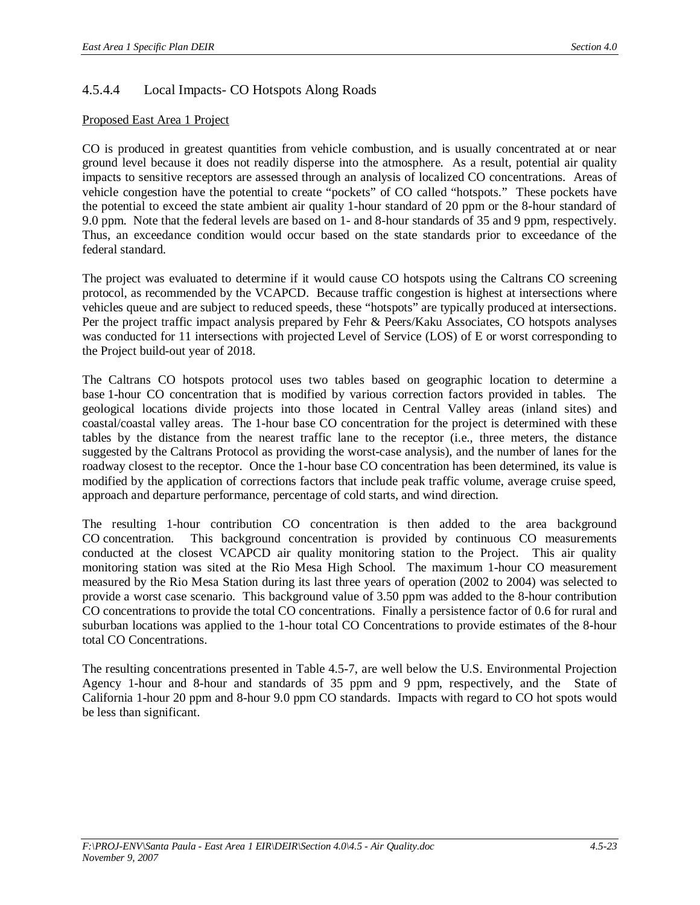# 4.5.4.4 Local Impacts- CO Hotspots Along Roads

# Proposed East Area 1 Project

CO is produced in greatest quantities from vehicle combustion, and is usually concentrated at or near ground level because it does not readily disperse into the atmosphere. As a result, potential air quality impacts to sensitive receptors are assessed through an analysis of localized CO concentrations. Areas of vehicle congestion have the potential to create "pockets" of CO called "hotspots." These pockets have the potential to exceed the state ambient air quality 1-hour standard of 20 ppm or the 8-hour standard of 9.0 ppm. Note that the federal levels are based on 1- and 8-hour standards of 35 and 9 ppm, respectively. Thus, an exceedance condition would occur based on the state standards prior to exceedance of the federal standard.

The project was evaluated to determine if it would cause CO hotspots using the Caltrans CO screening protocol, as recommended by the VCAPCD. Because traffic congestion is highest at intersections where vehicles queue and are subject to reduced speeds, these "hotspots" are typically produced at intersections. Per the project traffic impact analysis prepared by Fehr & Peers/Kaku Associates, CO hotspots analyses was conducted for 11 intersections with projected Level of Service (LOS) of E or worst corresponding to the Project build-out year of 2018.

The Caltrans CO hotspots protocol uses two tables based on geographic location to determine a base 1-hour CO concentration that is modified by various correction factors provided in tables. The geological locations divide projects into those located in Central Valley areas (inland sites) and coastal/coastal valley areas. The 1-hour base CO concentration for the project is determined with these tables by the distance from the nearest traffic lane to the receptor (i.e., three meters, the distance suggested by the Caltrans Protocol as providing the worst-case analysis), and the number of lanes for the roadway closest to the receptor. Once the 1-hour base CO concentration has been determined, its value is modified by the application of corrections factors that include peak traffic volume, average cruise speed, approach and departure performance, percentage of cold starts, and wind direction.

The resulting 1-hour contribution CO concentration is then added to the area background CO concentration. This background concentration is provided by continuous CO measurements conducted at the closest VCAPCD air quality monitoring station to the Project. This air quality monitoring station was sited at the Rio Mesa High School. The maximum 1-hour CO measurement measured by the Rio Mesa Station during its last three years of operation (2002 to 2004) was selected to provide a worst case scenario. This background value of 3.50 ppm was added to the 8-hour contribution CO concentrations to provide the total CO concentrations. Finally a persistence factor of 0.6 for rural and suburban locations was applied to the 1-hour total CO Concentrations to provide estimates of the 8-hour total CO Concentrations.

The resulting concentrations presented in Table 4.5-7, are well below the U.S. Environmental Projection Agency 1-hour and 8-hour and standards of 35 ppm and 9 ppm, respectively, and the State of California 1-hour 20 ppm and 8-hour 9.0 ppm CO standards. Impacts with regard to CO hot spots would be less than significant.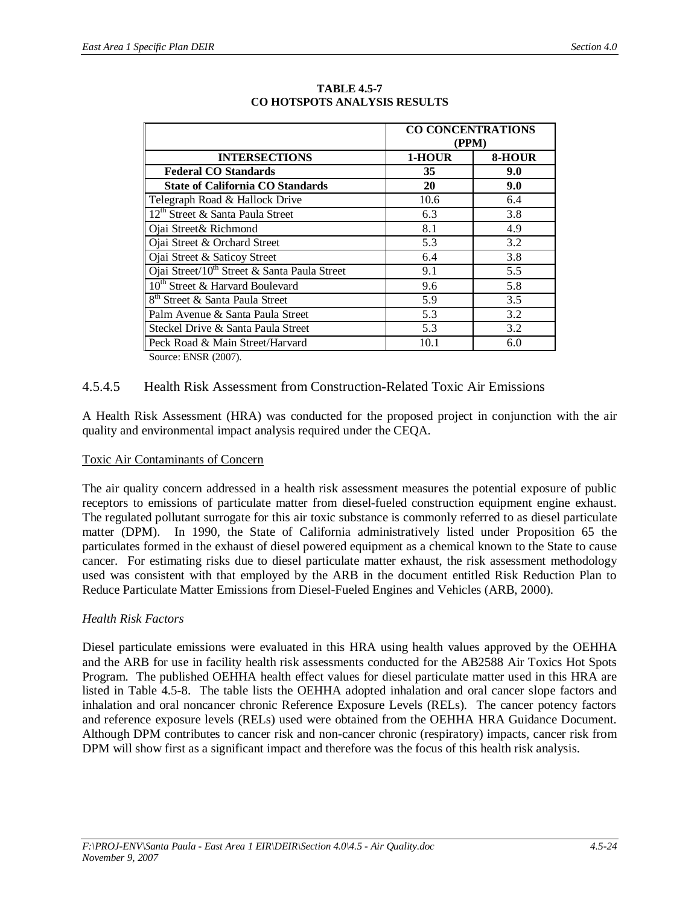|                                                          | <b>CO CONCENTRATIONS</b> |        |  |  |
|----------------------------------------------------------|--------------------------|--------|--|--|
|                                                          | (PPM)                    |        |  |  |
| <b>INTERSECTIONS</b>                                     | 1-HOUR                   | 8-HOUR |  |  |
| <b>Federal CO Standards</b>                              | 35                       | 9.0    |  |  |
| <b>State of California CO Standards</b>                  | 20                       | 9.0    |  |  |
| Telegraph Road & Hallock Drive                           | 10.6                     | 6.4    |  |  |
| 12 <sup>th</sup> Street & Santa Paula Street             | 6.3                      | 3.8    |  |  |
| Ojai Street& Richmond                                    | 8.1                      | 4.9    |  |  |
| Ojai Street & Orchard Street                             | 5.3                      | 3.2    |  |  |
| Ojai Street & Saticoy Street                             | 6.4                      | 3.8    |  |  |
| Ojai Street/10 <sup>th</sup> Street & Santa Paula Street | 9.1                      | 5.5    |  |  |
| 10 <sup>th</sup> Street & Harvard Boulevard              | 9.6                      | 5.8    |  |  |
| 8 <sup>th</sup> Street & Santa Paula Street              | 5.9                      | 3.5    |  |  |
| Palm Avenue & Santa Paula Street                         | 5.3                      | 3.2    |  |  |
| Steckel Drive & Santa Paula Street                       | 5.3                      | 3.2    |  |  |
| Peck Road & Main Street/Harvard                          | 10.1                     | 6.0    |  |  |
| $C_{\text{out}}$ $\sim$ $\Gamma$ NICD $(2007)$           |                          |        |  |  |

#### **TABLE 4.5-7 CO HOTSPOTS ANALYSIS RESULTS**

Source: ENSR (2007).

# 4.5.4.5 Health Risk Assessment from Construction-Related Toxic Air Emissions

A Health Risk Assessment (HRA) was conducted for the proposed project in conjunction with the air quality and environmental impact analysis required under the CEQA.

# Toxic Air Contaminants of Concern

The air quality concern addressed in a health risk assessment measures the potential exposure of public receptors to emissions of particulate matter from diesel-fueled construction equipment engine exhaust. The regulated pollutant surrogate for this air toxic substance is commonly referred to as diesel particulate matter (DPM). In 1990, the State of California administratively listed under Proposition 65 the particulates formed in the exhaust of diesel powered equipment as a chemical known to the State to cause cancer. For estimating risks due to diesel particulate matter exhaust, the risk assessment methodology used was consistent with that employed by the ARB in the document entitled Risk Reduction Plan to Reduce Particulate Matter Emissions from Diesel-Fueled Engines and Vehicles (ARB, 2000).

# *Health Risk Factors*

Diesel particulate emissions were evaluated in this HRA using health values approved by the OEHHA and the ARB for use in facility health risk assessments conducted for the AB2588 Air Toxics Hot Spots Program. The published OEHHA health effect values for diesel particulate matter used in this HRA are listed in Table 4.5-8. The table lists the OEHHA adopted inhalation and oral cancer slope factors and inhalation and oral noncancer chronic Reference Exposure Levels (RELs). The cancer potency factors and reference exposure levels (RELs) used were obtained from the OEHHA HRA Guidance Document. Although DPM contributes to cancer risk and non-cancer chronic (respiratory) impacts, cancer risk from DPM will show first as a significant impact and therefore was the focus of this health risk analysis.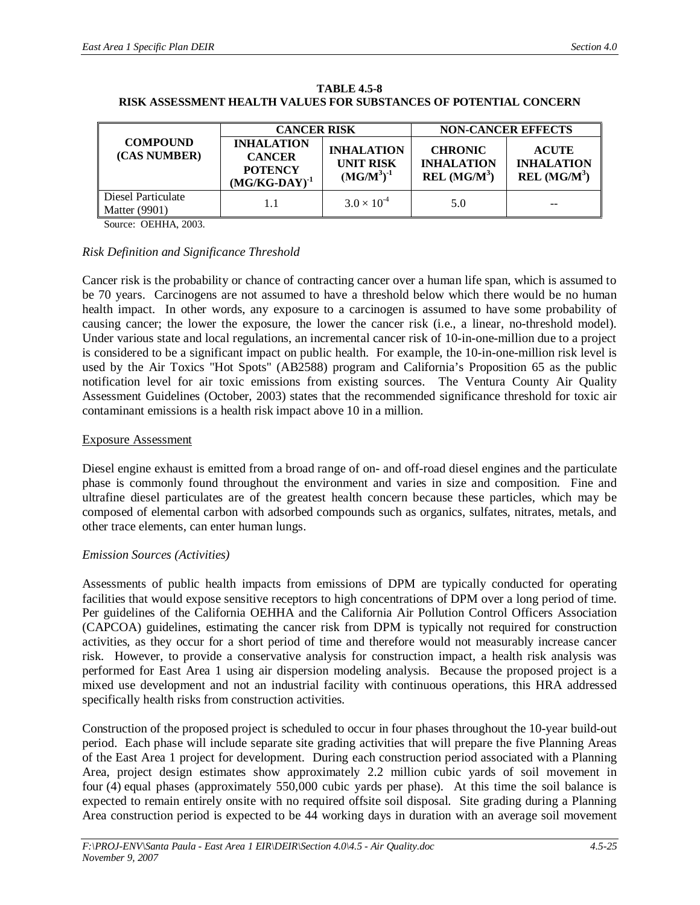|                                            | <b>CANCER RISK</b>                                                         |                                                           | <b>NON-CANCER EFFECTS</b>                                       |                                                               |  |
|--------------------------------------------|----------------------------------------------------------------------------|-----------------------------------------------------------|-----------------------------------------------------------------|---------------------------------------------------------------|--|
| <b>COMPOUND</b><br>(CAS NUMBER)            | <b>INHALATION</b><br><b>CANCER</b><br><b>POTENCY</b><br>$(MG/KG-DAY)^{-1}$ | <b>INHALATION</b><br><b>UNIT RISK</b><br>$(MGM^{3})^{-1}$ | <b>CHRONIC</b><br><b>INHALATION</b><br>REL (MG/M <sup>3</sup> ) | <b>ACUTE</b><br><b>INHALATION</b><br>REL (MG/M <sup>3</sup> ) |  |
| Diesel Particulate<br><b>Matter</b> (9901) |                                                                            | $3.0 \times 10^{-4}$                                      | 5.0                                                             |                                                               |  |

**TABLE 4.5-8 RISK ASSESSMENT HEALTH VALUES FOR SUBSTANCES OF POTENTIAL CONCERN**

Source: OEHHA, 2003.

#### *Risk Definition and Significance Threshold*

Cancer risk is the probability or chance of contracting cancer over a human life span, which is assumed to be 70 years. Carcinogens are not assumed to have a threshold below which there would be no human health impact. In other words, any exposure to a carcinogen is assumed to have some probability of causing cancer; the lower the exposure, the lower the cancer risk (i.e., a linear, no-threshold model). Under various state and local regulations, an incremental cancer risk of 10-in-one-million due to a project is considered to be a significant impact on public health. For example, the 10-in-one-million risk level is used by the Air Toxics "Hot Spots" (AB2588) program and California's Proposition 65 as the public notification level for air toxic emissions from existing sources. The Ventura County Air Quality Assessment Guidelines (October, 2003) states that the recommended significance threshold for toxic air contaminant emissions is a health risk impact above 10 in a million.

#### Exposure Assessment

Diesel engine exhaust is emitted from a broad range of on- and off-road diesel engines and the particulate phase is commonly found throughout the environment and varies in size and composition. Fine and ultrafine diesel particulates are of the greatest health concern because these particles, which may be composed of elemental carbon with adsorbed compounds such as organics, sulfates, nitrates, metals, and other trace elements, can enter human lungs.

#### *Emission Sources (Activities)*

Assessments of public health impacts from emissions of DPM are typically conducted for operating facilities that would expose sensitive receptors to high concentrations of DPM over a long period of time. Per guidelines of the California OEHHA and the California Air Pollution Control Officers Association (CAPCOA) guidelines, estimating the cancer risk from DPM is typically not required for construction activities, as they occur for a short period of time and therefore would not measurably increase cancer risk. However, to provide a conservative analysis for construction impact, a health risk analysis was performed for East Area 1 using air dispersion modeling analysis. Because the proposed project is a mixed use development and not an industrial facility with continuous operations, this HRA addressed specifically health risks from construction activities.

Construction of the proposed project is scheduled to occur in four phases throughout the 10-year build-out period. Each phase will include separate site grading activities that will prepare the five Planning Areas of the East Area 1 project for development. During each construction period associated with a Planning Area, project design estimates show approximately 2.2 million cubic yards of soil movement in four (4) equal phases (approximately 550,000 cubic yards per phase). At this time the soil balance is expected to remain entirely onsite with no required offsite soil disposal. Site grading during a Planning Area construction period is expected to be 44 working days in duration with an average soil movement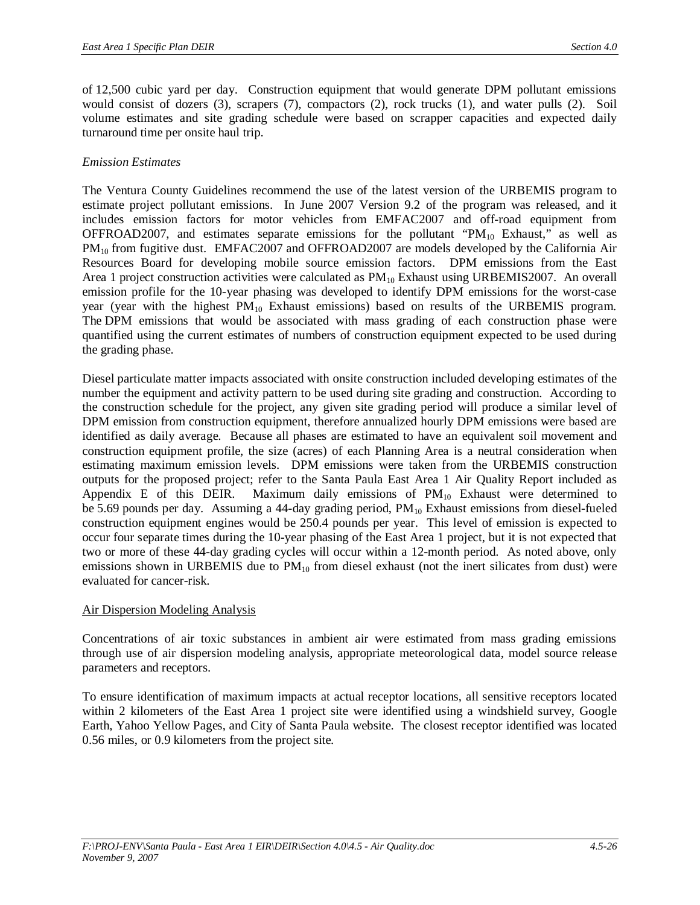of 12,500 cubic yard per day. Construction equipment that would generate DPM pollutant emissions would consist of dozers (3), scrapers (7), compactors (2), rock trucks (1), and water pulls (2). Soil volume estimates and site grading schedule were based on scrapper capacities and expected daily turnaround time per onsite haul trip.

### *Emission Estimates*

The Ventura County Guidelines recommend the use of the latest version of the URBEMIS program to estimate project pollutant emissions. In June 2007 Version 9.2 of the program was released, and it includes emission factors for motor vehicles from EMFAC2007 and off-road equipment from OFFROAD2007, and estimates separate emissions for the pollutant "PM $_{10}$  Exhaust," as well as PM<sub>10</sub> from fugitive dust. EMFAC2007 and OFFROAD2007 are models developed by the California Air Resources Board for developing mobile source emission factors. DPM emissions from the East Area 1 project construction activities were calculated as  $PM_{10}$  Exhaust using URBEMIS2007. An overall emission profile for the 10-year phasing was developed to identify DPM emissions for the worst-case year (year with the highest  $PM_{10}$  Exhaust emissions) based on results of the URBEMIS program. The DPM emissions that would be associated with mass grading of each construction phase were quantified using the current estimates of numbers of construction equipment expected to be used during the grading phase.

Diesel particulate matter impacts associated with onsite construction included developing estimates of the number the equipment and activity pattern to be used during site grading and construction. According to the construction schedule for the project, any given site grading period will produce a similar level of DPM emission from construction equipment, therefore annualized hourly DPM emissions were based are identified as daily average. Because all phases are estimated to have an equivalent soil movement and construction equipment profile, the size (acres) of each Planning Area is a neutral consideration when estimating maximum emission levels. DPM emissions were taken from the URBEMIS construction outputs for the proposed project; refer to the Santa Paula East Area 1 Air Quality Report included as Appendix E of this DEIR. Maximum daily emissions of  $PM_{10}$  Exhaust were determined to be 5.69 pounds per day. Assuming a 44-day grading period,  $PM_{10}$  Exhaust emissions from diesel-fueled construction equipment engines would be 250.4 pounds per year. This level of emission is expected to occur four separate times during the 10-year phasing of the East Area 1 project, but it is not expected that two or more of these 44-day grading cycles will occur within a 12-month period. As noted above, only emissions shown in URBEMIS due to  $PM_{10}$  from diesel exhaust (not the inert silicates from dust) were evaluated for cancer-risk.

# Air Dispersion Modeling Analysis

Concentrations of air toxic substances in ambient air were estimated from mass grading emissions through use of air dispersion modeling analysis, appropriate meteorological data, model source release parameters and receptors.

To ensure identification of maximum impacts at actual receptor locations, all sensitive receptors located within 2 kilometers of the East Area 1 project site were identified using a windshield survey, Google Earth, Yahoo Yellow Pages, and City of Santa Paula website. The closest receptor identified was located 0.56 miles, or 0.9 kilometers from the project site.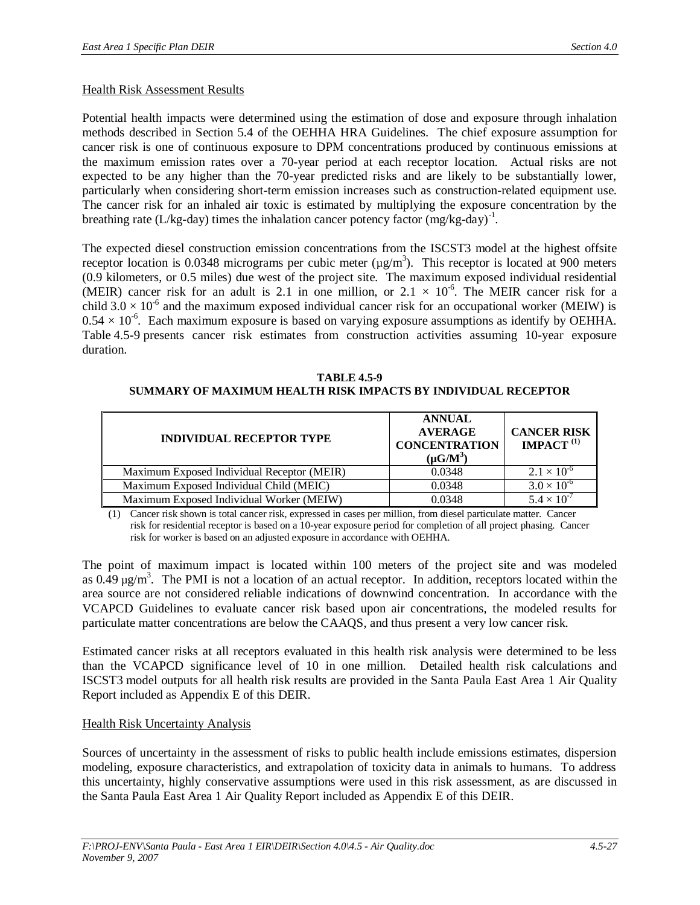#### Health Risk Assessment Results

Potential health impacts were determined using the estimation of dose and exposure through inhalation methods described in Section 5.4 of the OEHHA HRA Guidelines. The chief exposure assumption for cancer risk is one of continuous exposure to DPM concentrations produced by continuous emissions at the maximum emission rates over a 70-year period at each receptor location. Actual risks are not expected to be any higher than the 70-year predicted risks and are likely to be substantially lower, particularly when considering short-term emission increases such as construction-related equipment use. The cancer risk for an inhaled air toxic is estimated by multiplying the exposure concentration by the breathing rate (L/kg-day) times the inhalation cancer potency factor  $(mg/kg-day)^{-1}$ .

The expected diesel construction emission concentrations from the ISCST3 model at the highest offsite receptor location is 0.0348 micrograms per cubic meter  $(\mu g/m^3)$ . This receptor is located at 900 meters (0.9 kilometers, or 0.5 miles) due west of the project site. The maximum exposed individual residential (MEIR) cancer risk for an adult is 2.1 in one million, or  $2.1 \times 10^{-6}$ . The MEIR cancer risk for a child  $3.0 \times 10^{-6}$  and the maximum exposed individual cancer risk for an occupational worker (MEIW) is  $0.54 \times 10^{-6}$ . Each maximum exposure is based on varying exposure assumptions as identify by OEHHA. Table 4.5-9 presents cancer risk estimates from construction activities assuming 10-year exposure duration.

**TABLE 4.5-9 SUMMARY OF MAXIMUM HEALTH RISK IMPACTS BY INDIVIDUAL RECEPTOR**

| <b>INDIVIDUAL RECEPTOR TYPE</b>            | <b>ANNUAL</b><br><b>AVERAGE</b><br><b>CONCENTRATION</b><br>$(\mu G/M^3)$ | <b>CANCER RISK</b><br>IMPACT $^{(1)}$ |
|--------------------------------------------|--------------------------------------------------------------------------|---------------------------------------|
| Maximum Exposed Individual Receptor (MEIR) | 0.0348                                                                   | $2.1 \times 10^{-6}$                  |
| Maximum Exposed Individual Child (MEIC)    | 0.0348                                                                   | $3.0 \times 10^{-6}$                  |
| Maximum Exposed Individual Worker (MEIW)   | 0.0348                                                                   | $5.4 \times 10^{-7}$                  |

(1) Cancer risk shown is total cancer risk, expressed in cases per million, from diesel particulate matter. Cancer risk for residential receptor is based on a 10-year exposure period for completion of all project phasing. Cancer risk for worker is based on an adjusted exposure in accordance with OEHHA.

The point of maximum impact is located within 100 meters of the project site and was modeled as  $0.49 \mu g/m^3$ . The PMI is not a location of an actual receptor. In addition, receptors located within the area source are not considered reliable indications of downwind concentration. In accordance with the VCAPCD Guidelines to evaluate cancer risk based upon air concentrations, the modeled results for particulate matter concentrations are below the CAAQS, and thus present a very low cancer risk.

Estimated cancer risks at all receptors evaluated in this health risk analysis were determined to be less than the VCAPCD significance level of 10 in one million. Detailed health risk calculations and ISCST3 model outputs for all health risk results are provided in the Santa Paula East Area 1 Air Quality Report included as Appendix E of this DEIR.

#### Health Risk Uncertainty Analysis

Sources of uncertainty in the assessment of risks to public health include emissions estimates, dispersion modeling, exposure characteristics, and extrapolation of toxicity data in animals to humans. To address this uncertainty, highly conservative assumptions were used in this risk assessment, as are discussed in the Santa Paula East Area 1 Air Quality Report included as Appendix E of this DEIR.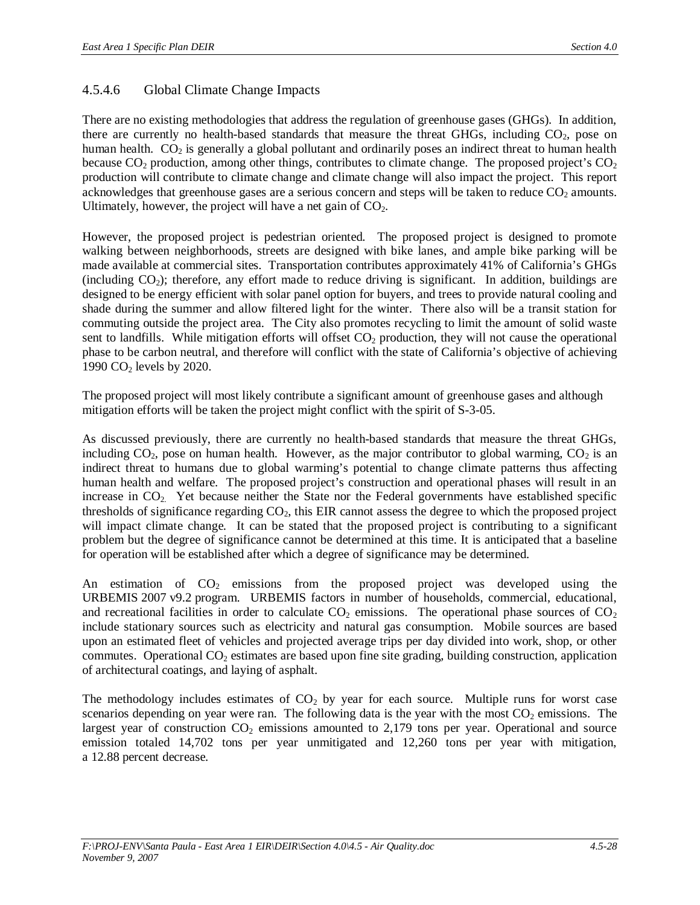# 4.5.4.6 Global Climate Change Impacts

There are no existing methodologies that address the regulation of greenhouse gases (GHGs). In addition, there are currently no health-based standards that measure the threat GHGs, including  $CO<sub>2</sub>$ , pose on human health.  $CO<sub>2</sub>$  is generally a global pollutant and ordinarily poses an indirect threat to human health because  $CO_2$  production, among other things, contributes to climate change. The proposed project's  $CO_2$ production will contribute to climate change and climate change will also impact the project. This report acknowledges that greenhouse gases are a serious concern and steps will be taken to reduce  $CO<sub>2</sub>$  amounts. Ultimately, however, the project will have a net gain of  $CO<sub>2</sub>$ .

However, the proposed project is pedestrian oriented. The proposed project is designed to promote walking between neighborhoods, streets are designed with bike lanes, and ample bike parking will be made available at commercial sites. Transportation contributes approximately 41% of California's GHGs (including  $CO<sub>2</sub>$ ); therefore, any effort made to reduce driving is significant. In addition, buildings are designed to be energy efficient with solar panel option for buyers, and trees to provide natural cooling and shade during the summer and allow filtered light for the winter. There also will be a transit station for commuting outside the project area. The City also promotes recycling to limit the amount of solid waste sent to landfills. While mitigation efforts will offset  $CO<sub>2</sub>$  production, they will not cause the operational phase to be carbon neutral, and therefore will conflict with the state of California's objective of achieving 1990 CO2 levels by 2020.

The proposed project will most likely contribute a significant amount of greenhouse gases and although mitigation efforts will be taken the project might conflict with the spirit of S-3-05.

As discussed previously, there are currently no health-based standards that measure the threat GHGs, including  $CO<sub>2</sub>$ , pose on human health. However, as the major contributor to global warming,  $CO<sub>2</sub>$  is an indirect threat to humans due to global warming's potential to change climate patterns thus affecting human health and welfare. The proposed project's construction and operational phases will result in an increase in  $CO<sub>2</sub>$ . Yet because neither the State nor the Federal governments have established specific thresholds of significance regarding  $CO<sub>2</sub>$ , this EIR cannot assess the degree to which the proposed project will impact climate change. It can be stated that the proposed project is contributing to a significant problem but the degree of significance cannot be determined at this time. It is anticipated that a baseline for operation will be established after which a degree of significance may be determined.

An estimation of  $CO<sub>2</sub>$  emissions from the proposed project was developed using the URBEMIS 2007 v9.2 program. URBEMIS factors in number of households, commercial, educational, and recreational facilities in order to calculate  $CO<sub>2</sub>$  emissions. The operational phase sources of  $CO<sub>2</sub>$ include stationary sources such as electricity and natural gas consumption. Mobile sources are based upon an estimated fleet of vehicles and projected average trips per day divided into work, shop, or other commutes. Operational  $CO<sub>2</sub>$  estimates are based upon fine site grading, building construction, application of architectural coatings, and laying of asphalt.

The methodology includes estimates of  $CO<sub>2</sub>$  by year for each source. Multiple runs for worst case scenarios depending on year were ran. The following data is the year with the most  $CO<sub>2</sub>$  emissions. The largest year of construction  $CO<sub>2</sub>$  emissions amounted to 2,179 tons per year. Operational and source emission totaled 14,702 tons per year unmitigated and 12,260 tons per year with mitigation, a 12.88 percent decrease.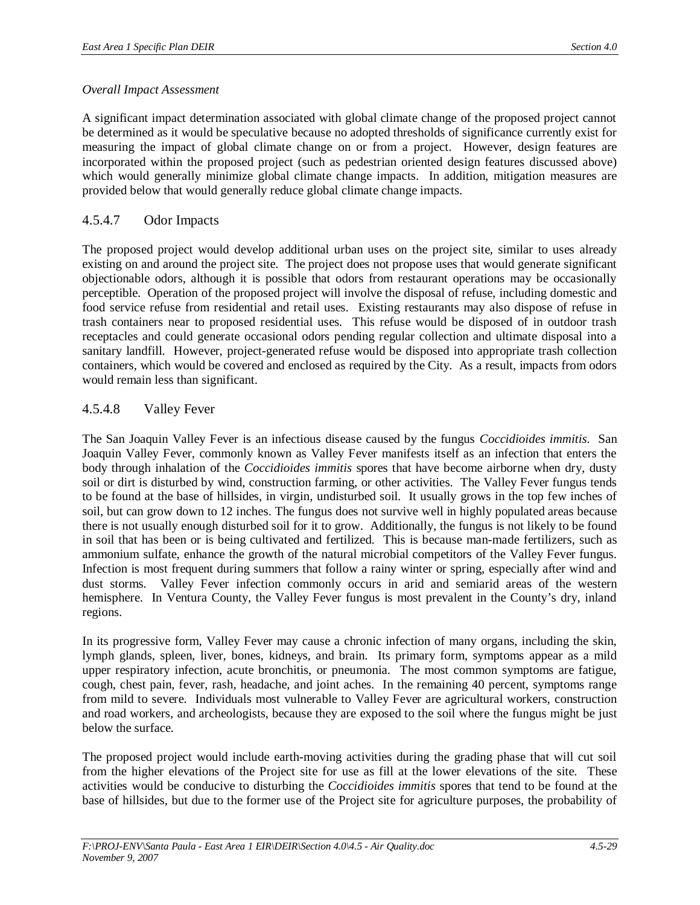### *Overall Impact Assessment*

A significant impact determination associated with global climate change of the proposed project cannot be determined as it would be speculative because no adopted thresholds of significance currently exist for measuring the impact of global climate change on or from a project. However, design features are incorporated within the proposed project (such as pedestrian oriented design features discussed above) which would generally minimize global climate change impacts. In addition, mitigation measures are provided below that would generally reduce global climate change impacts.

# 4.5.4.7 Odor Impacts

The proposed project would develop additional urban uses on the project site, similar to uses already existing on and around the project site. The project does not propose uses that would generate significant objectionable odors, although it is possible that odors from restaurant operations may be occasionally perceptible. Operation of the proposed project will involve the disposal of refuse, including domestic and food service refuse from residential and retail uses. Existing restaurants may also dispose of refuse in trash containers near to proposed residential uses. This refuse would be disposed of in outdoor trash receptacles and could generate occasional odors pending regular collection and ultimate disposal into a sanitary landfill. However, project-generated refuse would be disposed into appropriate trash collection containers, which would be covered and enclosed as required by the City. As a result, impacts from odors would remain less than significant.

# 4.5.4.8 Valley Fever

The San Joaquin Valley Fever is an infectious disease caused by the fungus *Coccidioides immitis*. San Joaquin Valley Fever, commonly known as Valley Fever manifests itself as an infection that enters the body through inhalation of the *Coccidioides immitis* spores that have become airborne when dry, dusty soil or dirt is disturbed by wind, construction farming, or other activities. The Valley Fever fungus tends to be found at the base of hillsides, in virgin, undisturbed soil. It usually grows in the top few inches of soil, but can grow down to 12 inches. The fungus does not survive well in highly populated areas because there is not usually enough disturbed soil for it to grow. Additionally, the fungus is not likely to be found in soil that has been or is being cultivated and fertilized. This is because man-made fertilizers, such as ammonium sulfate, enhance the growth of the natural microbial competitors of the Valley Fever fungus. Infection is most frequent during summers that follow a rainy winter or spring, especially after wind and dust storms. Valley Fever infection commonly occurs in arid and semiarid areas of the western hemisphere. In Ventura County, the Valley Fever fungus is most prevalent in the County's dry, inland regions.

In its progressive form, Valley Fever may cause a chronic infection of many organs, including the skin, lymph glands, spleen, liver, bones, kidneys, and brain. Its primary form, symptoms appear as a mild upper respiratory infection, acute bronchitis, or pneumonia. The most common symptoms are fatigue, cough, chest pain, fever, rash, headache, and joint aches. In the remaining 40 percent, symptoms range from mild to severe. Individuals most vulnerable to Valley Fever are agricultural workers, construction and road workers, and archeologists, because they are exposed to the soil where the fungus might be just below the surface.

The proposed project would include earth-moving activities during the grading phase that will cut soil from the higher elevations of the Project site for use as fill at the lower elevations of the site. These activities would be conducive to disturbing the *Coccidioides immitis* spores that tend to be found at the base of hillsides, but due to the former use of the Project site for agriculture purposes, the probability of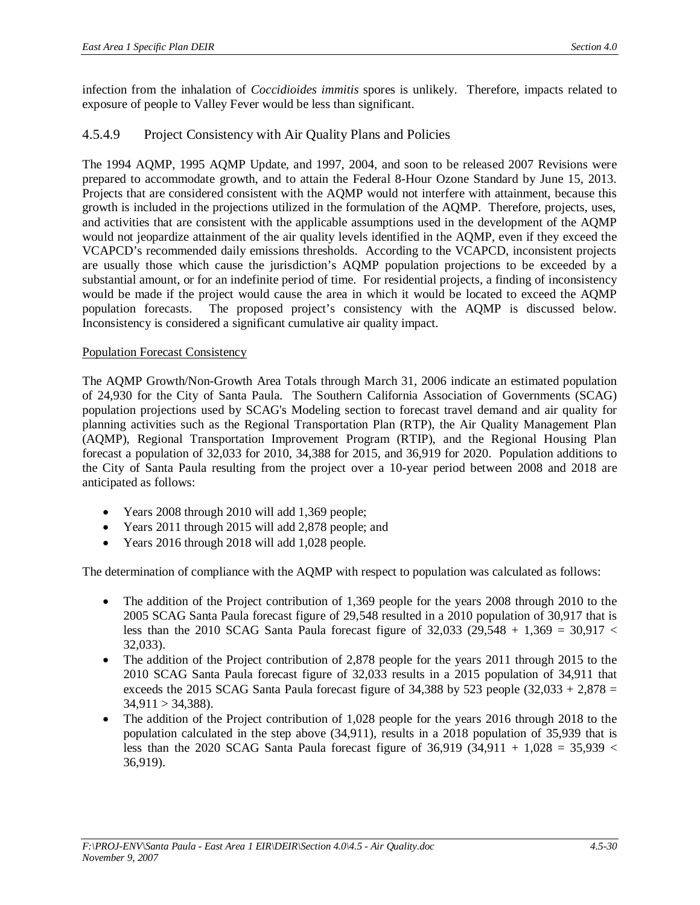infection from the inhalation of *Coccidioides immitis* spores is unlikely. Therefore, impacts related to exposure of people to Valley Fever would be less than significant.

# 4.5.4.9 Project Consistency with Air Quality Plans and Policies

The 1994 AQMP, 1995 AQMP Update, and 1997, 2004, and soon to be released 2007 Revisions were prepared to accommodate growth, and to attain the Federal 8-Hour Ozone Standard by June 15, 2013. Projects that are considered consistent with the AQMP would not interfere with attainment, because this growth is included in the projections utilized in the formulation of the AQMP. Therefore, projects, uses, and activities that are consistent with the applicable assumptions used in the development of the AQMP would not jeopardize attainment of the air quality levels identified in the AQMP, even if they exceed the VCAPCD's recommended daily emissions thresholds. According to the VCAPCD, inconsistent projects are usually those which cause the jurisdiction's AQMP population projections to be exceeded by a substantial amount, or for an indefinite period of time. For residential projects, a finding of inconsistency would be made if the project would cause the area in which it would be located to exceed the AQMP population forecasts. The proposed project's consistency with the AQMP is discussed below. Inconsistency is considered a significant cumulative air quality impact.

# Population Forecast Consistency

The AQMP Growth/Non-Growth Area Totals through March 31, 2006 indicate an estimated population of 24,930 for the City of Santa Paula. The Southern California Association of Governments (SCAG) population projections used by SCAG's Modeling section to forecast travel demand and air quality for planning activities such as the Regional Transportation Plan (RTP), the Air Quality Management Plan (AQMP), Regional Transportation Improvement Program (RTIP), and the Regional Housing Plan forecast a population of 32,033 for 2010, 34,388 for 2015, and 36,919 for 2020. Population additions to the City of Santa Paula resulting from the project over a 10-year period between 2008 and 2018 are anticipated as follows:

- $\bullet$  Years 2008 through 2010 will add 1,369 people;
- $\bullet$  Years 2011 through 2015 will add 2,878 people; and
- $\bullet$  Years 2016 through 2018 will add 1,028 people.

The determination of compliance with the AQMP with respect to population was calculated as follows:

- The addition of the Project contribution of 1,369 people for the years 2008 through 2010 to the 2005 SCAG Santa Paula forecast figure of 29,548 resulted in a 2010 population of 30,917 that is less than the 2010 SCAG Santa Paula forecast figure of 32,033 (29,548 + 1,369 = 30,917  $\lt$ 32,033).
- The addition of the Project contribution of 2,878 people for the years 2011 through 2015 to the 2010 SCAG Santa Paula forecast figure of 32,033 results in a 2015 population of 34,911 that exceeds the 2015 SCAG Santa Paula forecast figure of  $34,388$  by  $523$  people  $(32,033 + 2,878)$  =  $34,911 > 34,388$ ).
- The addition of the Project contribution of 1,028 people for the years 2016 through 2018 to the population calculated in the step above (34,911), results in a 2018 population of 35,939 that is less than the 2020 SCAG Santa Paula forecast figure of  $36,919$   $(34,911 + 1,028 = 35,939 <$ 36,919).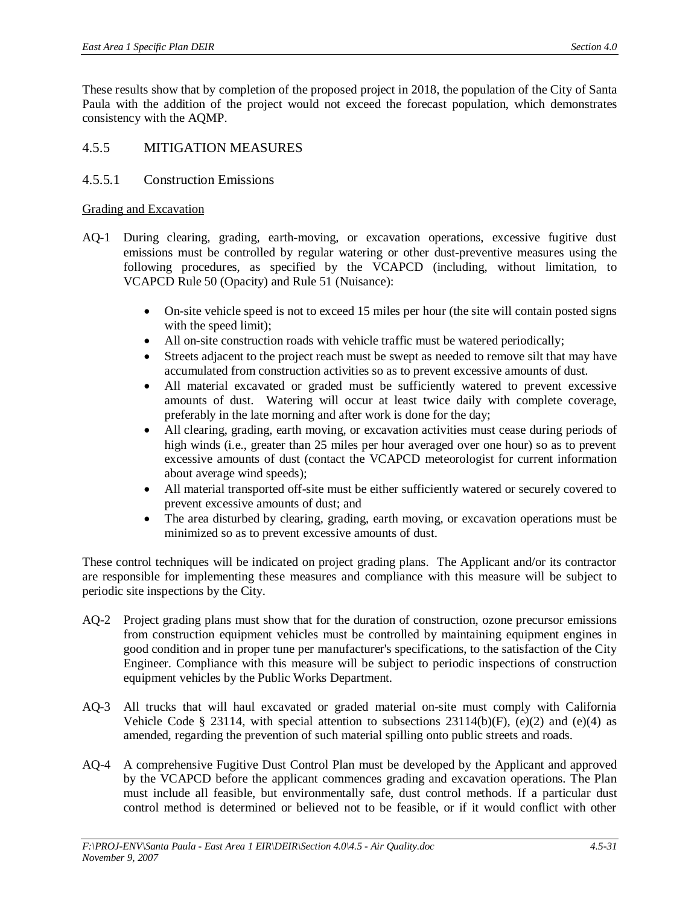These results show that by completion of the proposed project in 2018, the population of the City of Santa Paula with the addition of the project would not exceed the forecast population, which demonstrates consistency with the AQMP.

# 4.5.5 MITIGATION MEASURES

# 4.5.5.1 Construction Emissions

### Grading and Excavation

- AQ-1 During clearing, grading, earth-moving, or excavation operations, excessive fugitive dust emissions must be controlled by regular watering or other dust-preventive measures using the following procedures, as specified by the VCAPCD (including, without limitation, to VCAPCD Rule 50 (Opacity) and Rule 51 (Nuisance):
	- On-site vehicle speed is not to exceed 15 miles per hour (the site will contain posted signs with the speed limit);
	- All on-site construction roads with vehicle traffic must be watered periodically;
	- Streets adjacent to the project reach must be swept as needed to remove silt that may have accumulated from construction activities so as to prevent excessive amounts of dust.
	- x All material excavated or graded must be sufficiently watered to prevent excessive amounts of dust. Watering will occur at least twice daily with complete coverage, preferably in the late morning and after work is done for the day;
	- All clearing, grading, earth moving, or excavation activities must cease during periods of high winds (i.e., greater than 25 miles per hour averaged over one hour) so as to prevent excessive amounts of dust (contact the VCAPCD meteorologist for current information about average wind speeds);
	- All material transported off-site must be either sufficiently watered or securely covered to prevent excessive amounts of dust; and
	- The area disturbed by clearing, grading, earth moving, or excavation operations must be minimized so as to prevent excessive amounts of dust.

These control techniques will be indicated on project grading plans. The Applicant and/or its contractor are responsible for implementing these measures and compliance with this measure will be subject to periodic site inspections by the City.

- AQ-2 Project grading plans must show that for the duration of construction, ozone precursor emissions from construction equipment vehicles must be controlled by maintaining equipment engines in good condition and in proper tune per manufacturer's specifications, to the satisfaction of the City Engineer. Compliance with this measure will be subject to periodic inspections of construction equipment vehicles by the Public Works Department.
- AQ-3 All trucks that will haul excavated or graded material on-site must comply with California Vehicle Code § 23114, with special attention to subsections  $23114(b)(F)$ , (e)(2) and (e)(4) as amended, regarding the prevention of such material spilling onto public streets and roads.
- AQ-4 A comprehensive Fugitive Dust Control Plan must be developed by the Applicant and approved by the VCAPCD before the applicant commences grading and excavation operations. The Plan must include all feasible, but environmentally safe, dust control methods. If a particular dust control method is determined or believed not to be feasible, or if it would conflict with other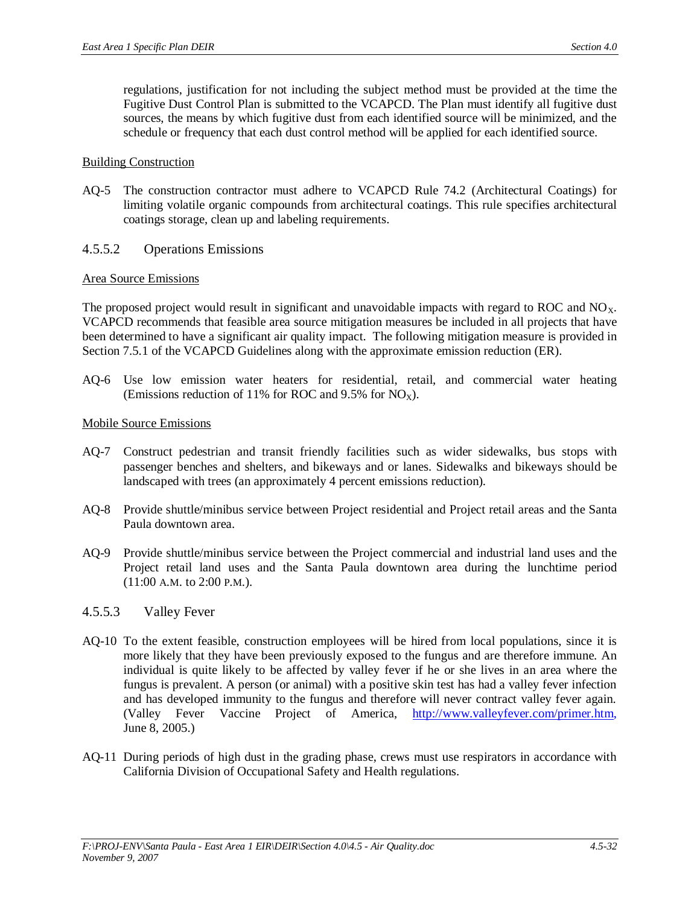regulations, justification for not including the subject method must be provided at the time the Fugitive Dust Control Plan is submitted to the VCAPCD. The Plan must identify all fugitive dust sources, the means by which fugitive dust from each identified source will be minimized, and the schedule or frequency that each dust control method will be applied for each identified source.

#### Building Construction

AQ-5 The construction contractor must adhere to VCAPCD Rule 74.2 (Architectural Coatings) for limiting volatile organic compounds from architectural coatings. This rule specifies architectural coatings storage, clean up and labeling requirements.

### 4.5.5.2 Operations Emissions

#### Area Source Emissions

The proposed project would result in significant and unavoidable impacts with regard to ROC and NO<sub>x</sub>. VCAPCD recommends that feasible area source mitigation measures be included in all projects that have been determined to have a significant air quality impact. The following mitigation measure is provided in Section 7.5.1 of the VCAPCD Guidelines along with the approximate emission reduction (ER).

AQ-6 Use low emission water heaters for residential, retail, and commercial water heating (Emissions reduction of 11% for ROC and 9.5% for  $NO<sub>x</sub>$ ).

#### Mobile Source Emissions

- AQ-7 Construct pedestrian and transit friendly facilities such as wider sidewalks, bus stops with passenger benches and shelters, and bikeways and or lanes. Sidewalks and bikeways should be landscaped with trees (an approximately 4 percent emissions reduction).
- AQ-8 Provide shuttle/minibus service between Project residential and Project retail areas and the Santa Paula downtown area.
- AQ-9 Provide shuttle/minibus service between the Project commercial and industrial land uses and the Project retail land uses and the Santa Paula downtown area during the lunchtime period (11:00 A.M. to 2:00 P.M.).

#### 4.5.5.3 Valley Fever

- AQ-10 To the extent feasible, construction employees will be hired from local populations, since it is more likely that they have been previously exposed to the fungus and are therefore immune. An individual is quite likely to be affected by valley fever if he or she lives in an area where the fungus is prevalent. A person (or animal) with a positive skin test has had a valley fever infection and has developed immunity to the fungus and therefore will never contract valley fever again. (Valley Fever Vaccine Project of America, [http://www.valleyfever.com/primer.htm,](http://www.valleyfever.com/primer.htm) June 8, 2005.)
- AQ-11 During periods of high dust in the grading phase, crews must use respirators in accordance with California Division of Occupational Safety and Health regulations.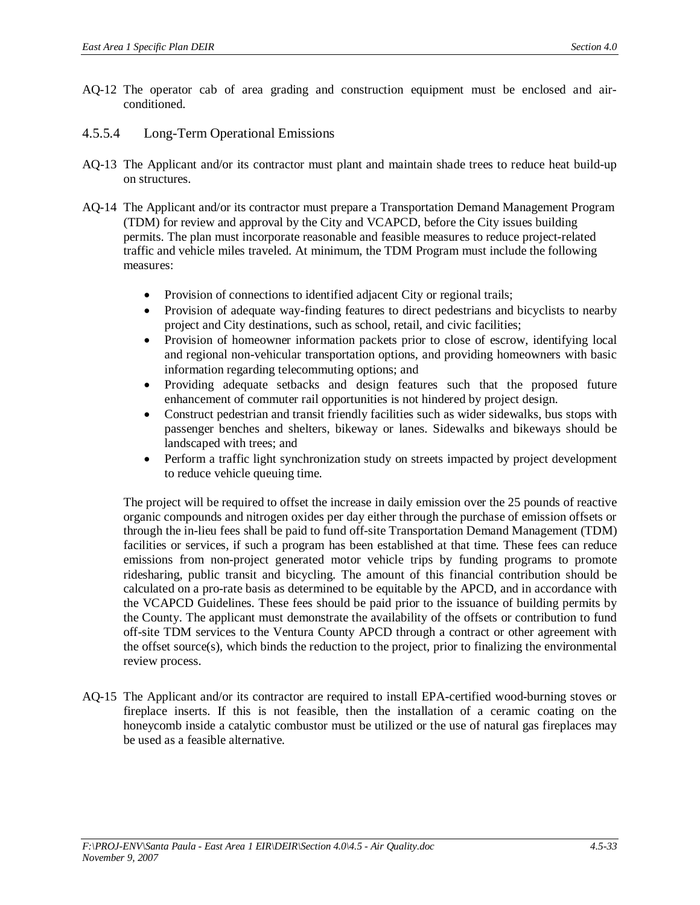- AQ-12 The operator cab of area grading and construction equipment must be enclosed and airconditioned.
- 4.5.5.4 Long-Term Operational Emissions
- AQ-13 The Applicant and/or its contractor must plant and maintain shade trees to reduce heat build-up on structures.
- AQ-14 The Applicant and/or its contractor must prepare a Transportation Demand Management Program (TDM) for review and approval by the City and VCAPCD, before the City issues building permits. The plan must incorporate reasonable and feasible measures to reduce project-related traffic and vehicle miles traveled. At minimum, the TDM Program must include the following measures:
	- Provision of connections to identified adjacent City or regional trails;
	- Provision of adequate way-finding features to direct pedestrians and bicyclists to nearby project and City destinations, such as school, retail, and civic facilities;
	- Provision of homeowner information packets prior to close of escrow, identifying local and regional non-vehicular transportation options, and providing homeowners with basic information regarding telecommuting options; and
	- Providing adequate setbacks and design features such that the proposed future enhancement of commuter rail opportunities is not hindered by project design.
	- Construct pedestrian and transit friendly facilities such as wider sidewalks, bus stops with passenger benches and shelters, bikeway or lanes. Sidewalks and bikeways should be landscaped with trees; and
	- Perform a traffic light synchronization study on streets impacted by project development to reduce vehicle queuing time.

The project will be required to offset the increase in daily emission over the 25 pounds of reactive organic compounds and nitrogen oxides per day either through the purchase of emission offsets or through the in-lieu fees shall be paid to fund off-site Transportation Demand Management (TDM) facilities or services, if such a program has been established at that time. These fees can reduce emissions from non-project generated motor vehicle trips by funding programs to promote ridesharing, public transit and bicycling. The amount of this financial contribution should be calculated on a pro-rate basis as determined to be equitable by the APCD, and in accordance with the VCAPCD Guidelines. These fees should be paid prior to the issuance of building permits by the County. The applicant must demonstrate the availability of the offsets or contribution to fund off-site TDM services to the Ventura County APCD through a contract or other agreement with the offset source(s), which binds the reduction to the project, prior to finalizing the environmental review process.

AQ-15 The Applicant and/or its contractor are required to install EPA-certified wood-burning stoves or fireplace inserts. If this is not feasible, then the installation of a ceramic coating on the honeycomb inside a catalytic combustor must be utilized or the use of natural gas fireplaces may be used as a feasible alternative.